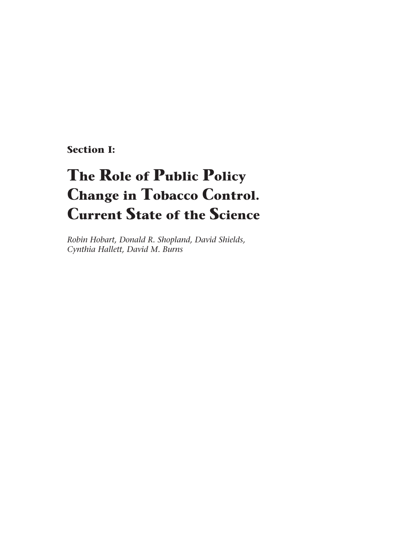**Section I:**

# **The Role of Public Policy Change in Tobacco Control. Current State of the Science**

*Robin Hobart, Donald R. Shopland, David Shields, Cynthia Hallett, David M. Burns*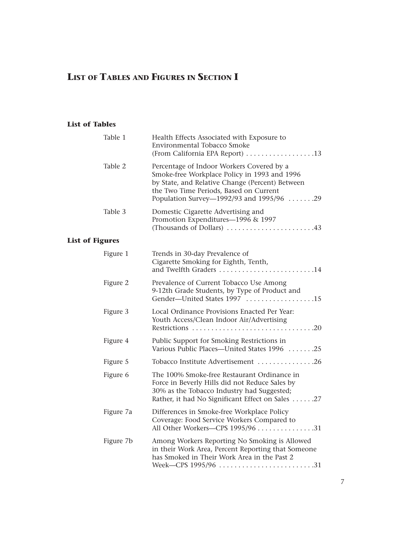## **LIST OF TABLES AND FIGURES IN SECTION I**

### **List of Tables**

|                        | Table 1   | Health Effects Associated with Exposure to<br>Environmental Tobacco Smoke                                                                                                                                                          |
|------------------------|-----------|------------------------------------------------------------------------------------------------------------------------------------------------------------------------------------------------------------------------------------|
|                        | Table 2   | Percentage of Indoor Workers Covered by a<br>Smoke-free Workplace Policy in 1993 and 1996<br>by State, and Relative Change (Percent) Between<br>the Two Time Periods, Based on Current<br>Population Survey—1992/93 and 1995/96 29 |
|                        | Table 3   | Domestic Cigarette Advertising and<br>Promotion Expenditures-1996 & 1997<br>(Thousands of Dollars) 43                                                                                                                              |
| <b>List of Figures</b> |           |                                                                                                                                                                                                                                    |
|                        | Figure 1  | Trends in 30-day Prevalence of<br>Cigarette Smoking for Eighth, Tenth,<br>and Twelfth Graders 14                                                                                                                                   |
|                        | Figure 2  | Prevalence of Current Tobacco Use Among<br>9-12th Grade Students, by Type of Product and<br>Gender-United States 1997 15                                                                                                           |
|                        | Figure 3  | Local Ordinance Provisions Enacted Per Year:<br>Youth Access/Clean Indoor Air/Advertising                                                                                                                                          |
|                        | Figure 4  | Public Support for Smoking Restrictions in<br>Various Public Places—United States 1996 25                                                                                                                                          |
|                        | Figure 5  | Tobacco Institute Advertisement 26                                                                                                                                                                                                 |
|                        | Figure 6  | The 100% Smoke-free Restaurant Ordinance in<br>Force in Beverly Hills did not Reduce Sales by<br>30% as the Tobacco Industry had Suggested;<br>Rather, it had No Significant Effect on Sales 27                                    |
|                        | Figure 7a | Differences in Smoke-free Workplace Policy<br>Coverage: Food Service Workers Compared to<br>All Other Workers-CPS 1995/96 31                                                                                                       |
|                        | Figure 7b | Among Workers Reporting No Smoking is Allowed<br>in their Work Area, Percent Reporting that Someone<br>has Smoked in Their Work Area in the Past 2<br>Week—CPS 1995/96 31                                                          |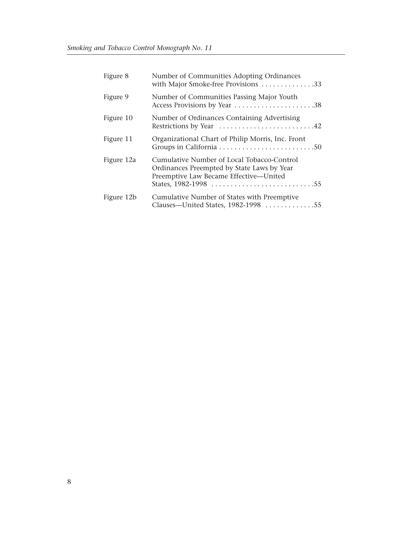| Figure 8   | Number of Communities Adopting Ordinances<br>with Major Smoke-free Provisions 33                                                   |
|------------|------------------------------------------------------------------------------------------------------------------------------------|
| Figure 9   | Number of Communities Passing Major Youth<br>Access Provisions by Year 38                                                          |
| Figure 10  | Number of Ordinances Containing Advertising<br>Restrictions by Year 42                                                             |
| Figure 11  | Organizational Chart of Philip Morris, Inc. Front                                                                                  |
| Figure 12a | Cumulative Number of Local Tobacco-Control<br>Ordinances Preempted by State Laws by Year<br>Preemptive Law Became Effective-United |
| Figure 12b | Cumulative Number of States with Preemptive<br>Clauses-United States, 1982-1998 55                                                 |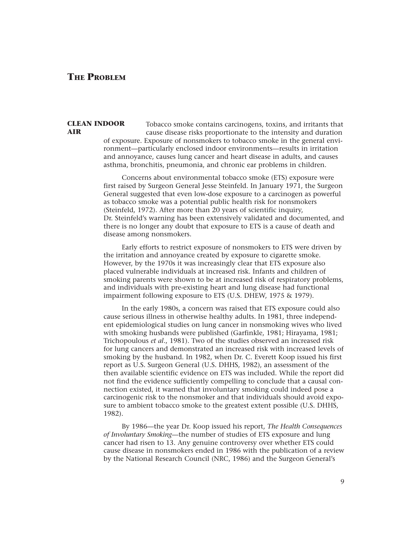### **THE PROBLEM**

### **CLEAN INDOOR AIR**

Tobacco smoke contains carcinogens, toxins, and irritants that cause disease risks proportionate to the intensity and duration of exposure. Exposure of nonsmokers to tobacco smoke in the general environment—particularly enclosed indoor environments—results in irritation and annoyance, causes lung cancer and heart disease in adults, and causes asthma, bronchitis, pneumonia, and chronic ear problems in children.

Concerns about environmental tobacco smoke (ETS) exposure were first raised by Surgeon General Jesse Steinfeld. In January 1971, the Surgeon General suggested that even low-dose exposure to a carcinogen as powerful as tobacco smoke was a potential public health risk for nonsmokers (Steinfeld, 1972). After more than 20 years of scientific inquiry, Dr. Steinfeld's warning has been extensively validated and documented, and there is no longer any doubt that exposure to ETS is a cause of death and disease among nonsmokers.

Early efforts to restrict exposure of nonsmokers to ETS were driven by the irritation and annoyance created by exposure to cigarette smoke. However, by the 1970s it was increasingly clear that ETS exposure also placed vulnerable individuals at increased risk. Infants and children of smoking parents were shown to be at increased risk of respiratory problems, and individuals with pre-existing heart and lung disease had functional impairment following exposure to ETS (U.S. DHEW, 1975 & 1979).

In the early 1980s, a concern was raised that ETS exposure could also cause serious illness in otherwise healthy adults. In 1981, three independent epidemiological studies on lung cancer in nonsmoking wives who lived with smoking husbands were published (Garfinkle, 1981; Hirayama, 1981; Trichopoulous *et al*., 1981). Two of the studies observed an increased risk for lung cancers and demonstrated an increased risk with increased levels of smoking by the husband. In 1982, when Dr. C. Everett Koop issued his first report as U.S. Surgeon General (U.S. DHHS, 1982), an assessment of the then available scientific evidence on ETS was included. While the report did not find the evidence sufficiently compelling to conclude that a causal connection existed, it warned that involuntary smoking could indeed pose a carcinogenic risk to the nonsmoker and that individuals should avoid exposure to ambient tobacco smoke to the greatest extent possible (U.S. DHHS, 1982).

By 1986—the year Dr. Koop issued his report, *The Health Consequences of Involuntary Smoking*—the number of studies of ETS exposure and lung cancer had risen to 13. Any genuine controversy over whether ETS could cause disease in nonsmokers ended in 1986 with the publication of a review by the National Research Council (NRC, 1986) and the Surgeon General's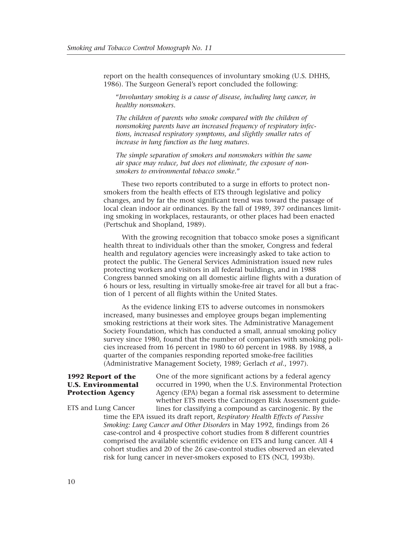report on the health consequences of involuntary smoking (U.S. DHHS, 1986). The Surgeon General's report concluded the following:

"*Involuntary smoking is a cause of disease, including lung cancer, in healthy nonsmokers.*

*The children of parents who smoke compared with the children of nonsmoking parents have an increased frequency of respiratory infections, increased respiratory symptoms, and slightly smaller rates of increase in lung function as the lung matures.*

*The simple separation of smokers and nonsmokers within the same air space may reduce, but does not eliminate, the exposure of nonsmokers to environmental tobacco smoke.*"

These two reports contributed to a surge in efforts to protect nonsmokers from the health effects of ETS through legislative and policy changes, and by far the most significant trend was toward the passage of local clean indoor air ordinances. By the fall of 1989, 397 ordinances limiting smoking in workplaces, restaurants, or other places had been enacted (Pertschuk and Shopland, 1989).

With the growing recognition that tobacco smoke poses a significant health threat to individuals other than the smoker, Congress and federal health and regulatory agencies were increasingly asked to take action to protect the public. The General Services Administration issued new rules protecting workers and visitors in all federal buildings, and in 1988 Congress banned smoking on all domestic airline flights with a duration of 6 hours or less, resulting in virtually smoke-free air travel for all but a fraction of 1 percent of all flights within the United States.

As the evidence linking ETS to adverse outcomes in nonsmokers increased, many businesses and employee groups began implementing smoking restrictions at their work sites. The Administrative Management Society Foundation, which has conducted a small, annual smoking policy survey since 1980, found that the number of companies with smoking policies increased from 16 percent in 1980 to 60 percent in 1988. By 1988, a quarter of the companies responding reported smoke-free facilities (Administrative Management Society, 1989; Gerlach *et al*., 1997).

### **1992 Report of the U.S. Environmental Protection Agency**

One of the more significant actions by a federal agency occurred in 1990, when the U.S. Environmental Protection Agency (EPA) began a formal risk assessment to determine whether ETS meets the Carcinogen Risk Assessment guidelines for classifying a compound as carcinogenic. By the

time the EPA issued its draft report, *Respiratory Health Effects of Passive Smoking: Lung Cancer and Other Disorders* in May 1992, findings from 26 case-control and 4 prospective cohort studies from 8 different countries comprised the available scientific evidence on ETS and lung cancer. All 4 cohort studies and 20 of the 26 case-control studies observed an elevated risk for lung cancer in never-smokers exposed to ETS (NCI, 1993b). ETS and Lung Cancer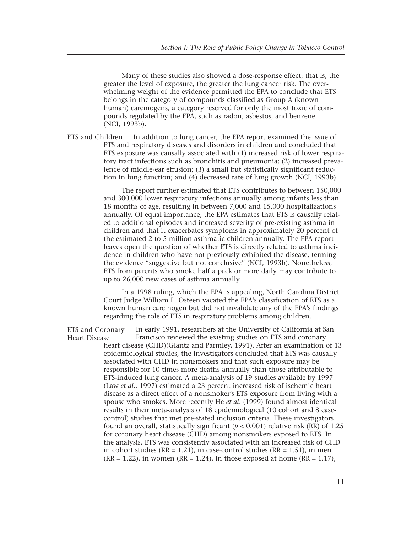Many of these studies also showed a dose-response effect; that is, the greater the level of exposure, the greater the lung cancer risk. The overwhelming weight of the evidence permitted the EPA to conclude that ETS belongs in the category of compounds classified as Group A (known human) carcinogens, a category reserved for only the most toxic of compounds regulated by the EPA, such as radon, asbestos, and benzene (NCI, 1993b).

ETS and Children In addition to lung cancer, the EPA report examined the issue of ETS and respiratory diseases and disorders in children and concluded that ETS exposure was causally associated with (1) increased risk of lower respiratory tract infections such as bronchitis and pneumonia; (2) increased prevalence of middle-ear effusion; (3) a small but statistically significant reduction in lung function; and (4) decreased rate of lung growth (NCI, 1993b).

> The report further estimated that ETS contributes to between 150,000 and 300,000 lower respiratory infections annually among infants less than 18 months of age, resulting in between 7,000 and 15,000 hospitalizations annually. Of equal importance, the EPA estimates that ETS is causally related to additional episodes and increased severity of pre-existing asthma in children and that it exacerbates symptoms in approximately 20 percent of the estimated 2 to 5 million asthmatic children annually. The EPA report leaves open the question of whether ETS is directly related to asthma incidence in children who have not previously exhibited the disease, terming the evidence "suggestive but not conclusive" (NCI, 1993b). Nonetheless, ETS from parents who smoke half a pack or more daily may contribute to up to 26,000 new cases of asthma annually.

> In a 1998 ruling, which the EPA is appealing, North Carolina District Court Judge William L. Osteen vacated the EPA's classification of ETS as a known human carcinogen but did not invalidate any of the EPA's findings regarding the role of ETS in respiratory problems among children.

In early 1991, researchers at the University of California at San Francisco reviewed the existing studies on ETS and coronary heart disease (CHD)(Glantz and Parmley, 1991). After an examination of 13 epidemiological studies, the investigators concluded that ETS was causally associated with CHD in nonsmokers and that such exposure may be responsible for 10 times more deaths annually than those attributable to ETS-induced lung cancer. A meta-analysis of 19 studies available by 1997 (Law *et al*., 1997) estimated a 23 percent increased risk of ischemic heart disease as a direct effect of a nonsmoker's ETS exposure from living with a spouse who smokes. More recently He *et al*. (1999) found almost identical results in their meta-analysis of 18 epidemiological (10 cohort and 8 casecontrol) studies that met pre-stated inclusion criteria. These investigators found an overall, statistically significant  $(p < 0.001)$  relative risk (RR) of 1.25 for coronary heart disease (CHD) among nonsmokers exposed to ETS. In the analysis, ETS was consistently associated with an increased risk of CHD in cohort studies ( $RR = 1.21$ ), in case-control studies ( $RR = 1.51$ ), in men  $(RR = 1.22)$ , in women  $(RR = 1.24)$ , in those exposed at home  $(RR = 1.17)$ , ETS and Coronary Heart Disease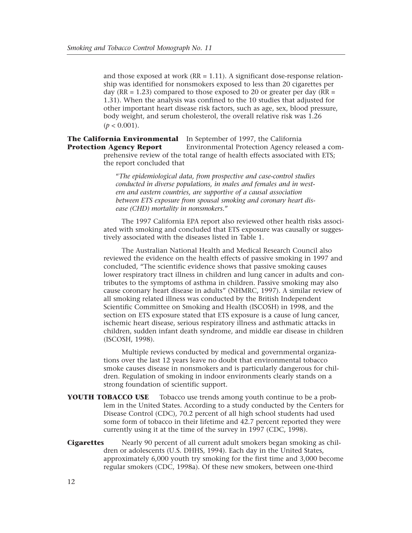and those exposed at work  $(RR = 1.11)$ . A significant dose-response relationship was identified for nonsmokers exposed to less than 20 cigarettes per day ( $RR = 1.23$ ) compared to those exposed to 20 or greater per day ( $RR =$ 1.31). When the analysis was confined to the 10 studies that adjusted for other important heart disease risk factors, such as age, sex, blood pressure, body weight, and serum cholesterol, the overall relative risk was 1.26  $(p < 0.001)$ .

**The California Environmental** In September of 1997, the California Environmental Protection Agency released a comprehensive review of the total range of health effects associated with ETS; the report concluded that **Protection Agency Report**

> "*The epidemiological data, from prospective and case-control studies conducted in diverse populations, in males and females and in western and eastern countries, are supportive of a causal association between ETS exposure from spousal smoking and coronary heart disease (CHD) mortality in nonsmokers.*"

The 1997 California EPA report also reviewed other health risks associated with smoking and concluded that ETS exposure was causally or suggestively associated with the diseases listed in Table 1.

The Australian National Health and Medical Research Council also reviewed the evidence on the health effects of passive smoking in 1997 and concluded, "The scientific evidence shows that passive smoking causes lower respiratory tract illness in children and lung cancer in adults and contributes to the symptoms of asthma in children. Passive smoking may also cause coronary heart disease in adults" (NHMRC, 1997). A similar review of all smoking related illness was conducted by the British Independent Scientific Committee on Smoking and Health (ISCOSH) in 1998, and the section on ETS exposure stated that ETS exposure is a cause of lung cancer, ischemic heart disease, serious respiratory illness and asthmatic attacks in children, sudden infant death syndrome, and middle ear disease in children (ISCOSH, 1998).

Multiple reviews conducted by medical and governmental organizations over the last 12 years leave no doubt that environmental tobacco smoke causes disease in nonsmokers and is particularly dangerous for children. Regulation of smoking in indoor environments clearly stands on a strong foundation of scientific support.

**YOUTH TOBACCO USE** Tobacco use trends among youth continue to be a problem in the United States. According to a study conducted by the Centers for Disease Control (CDC), 70.2 percent of all high school students had used some form of tobacco in their lifetime and 42.7 percent reported they were currently using it at the time of the survey in 1997 (CDC, 1998).

**Cigarettes** Nearly 90 percent of all current adult smokers began smoking as children or adolescents (U.S. DHHS, 1994). Each day in the United States, approximately 6,000 youth try smoking for the first time and 3,000 become regular smokers (CDC, 1998a). Of these new smokers, between one-third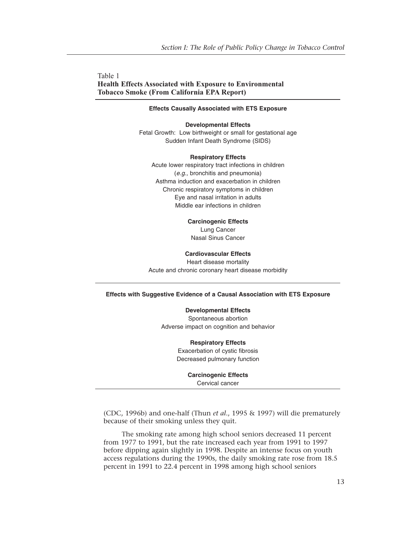Table 1 **Health Effects Associated with Exposure to Environmental Tobacco Smoke (From California EPA Report)**

### **Effects Causally Associated with ETS Exposure**

#### **Developmental Effects**

Fetal Growth: Low birthweight or small for gestational age Sudden Infant Death Syndrome (SIDS)

### **Respiratory Effects**

Acute lower respiratory tract infections in children (*e.g.,* bronchitis and pneumonia) Asthma induction and exacerbation in children Chronic respiratory symptoms in children Eye and nasal irritation in adults Middle ear infections in children

### **Carcinogenic Effects**

Lung Cancer Nasal Sinus Cancer

### **Cardiovascular Effects**

Heart disease mortality Acute and chronic coronary heart disease morbidity

### **Effects with Suggestive Evidence of a Causal Association with ETS Exposure**

**Developmental Effects** Spontaneous abortion Adverse impact on cognition and behavior

> **Respiratory Effects** Exacerbation of cystic fibrosis Decreased pulmonary function

> > **Carcinogenic Effects** Cervical cancer

(CDC, 1996b) and one-half (Thun *et al*., 1995 & 1997) will die prematurely because of their smoking unless they quit.

The smoking rate among high school seniors decreased 11 percent from 1977 to 1991, but the rate increased each year from 1991 to 1997 before dipping again slightly in 1998. Despite an intense focus on youth access regulations during the 1990s, the daily smoking rate rose from 18.5 percent in 1991 to 22.4 percent in 1998 among high school seniors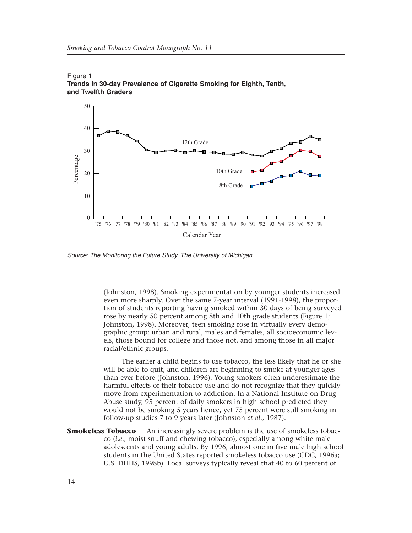



*Source: The Monitoring the Future Study, The University of Michigan*

(Johnston, 1998). Smoking experimentation by younger students increased even more sharply. Over the same 7-year interval (1991-1998), the proportion of students reporting having smoked within 30 days of being surveyed rose by nearly 50 percent among 8th and 10th grade students (Figure 1; Johnston, 1998). Moreover, teen smoking rose in virtually every demographic group: urban and rural, males and females, all socioeconomic levels, those bound for college and those not, and among those in all major racial/ethnic groups.

The earlier a child begins to use tobacco, the less likely that he or she will be able to quit, and children are beginning to smoke at younger ages than ever before (Johnston, 1996). Young smokers often underestimate the harmful effects of their tobacco use and do not recognize that they quickly move from experimentation to addiction. In a National Institute on Drug Abuse study, 95 percent of daily smokers in high school predicted they would not be smoking 5 years hence, yet 75 percent were still smoking in follow-up studies 7 to 9 years later (Johnston *et al*., 1987).

**Smokeless Tobacco** An increasingly severe problem is the use of smokeless tobacco (*i.e.*, moist snuff and chewing tobacco), especially among white male adolescents and young adults. By 1996, almost one in five male high school students in the United States reported smokeless tobacco use (CDC, 1996a; U.S. DHHS, 1998b). Local surveys typically reveal that 40 to 60 percent of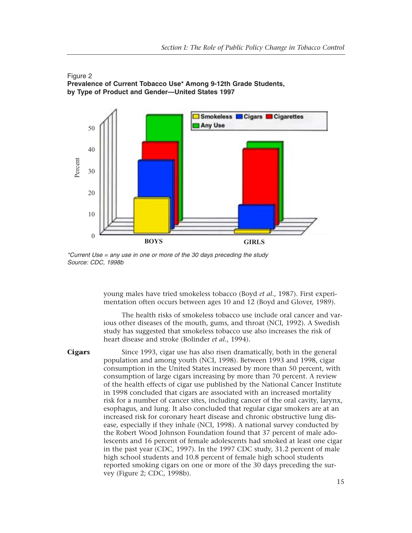



*\*Current Use = any use in one or more of the 30 days preceding the study*

young males have tried smokeless tobacco (Boyd *et al*., 1987). First experimentation often occurs between ages 10 and 12 (Boyd and Glover, 1989).

The health risks of smokeless tobacco use include oral cancer and various other diseases of the mouth, gums, and throat (NCI, 1992). A Swedish study has suggested that smokeless tobacco use also increases the risk of heart disease and stroke (Bolinder *et al*., 1994).

**Cigars** Since 1993, cigar use has also risen dramatically, both in the general population and among youth (NCI, 1998). Between 1993 and 1998, cigar consumption in the United States increased by more than 50 percent, with consumption of large cigars increasing by more than 70 percent. A review of the health effects of cigar use published by the National Cancer Institute in 1998 concluded that cigars are associated with an increased mortality risk for a number of cancer sites, including cancer of the oral cavity, larynx, esophagus, and lung. It also concluded that regular cigar smokers are at an increased risk for coronary heart disease and chronic obstructive lung disease, especially if they inhale (NCI, 1998). A national survey conducted by the Robert Wood Johnson Foundation found that 37 percent of male adolescents and 16 percent of female adolescents had smoked at least one cigar in the past year (CDC, 1997). In the 1997 CDC study, 31.2 percent of male high school students and 10.8 percent of female high school students reported smoking cigars on one or more of the 30 days preceding the survey (Figure 2; CDC, 1998b).

### 15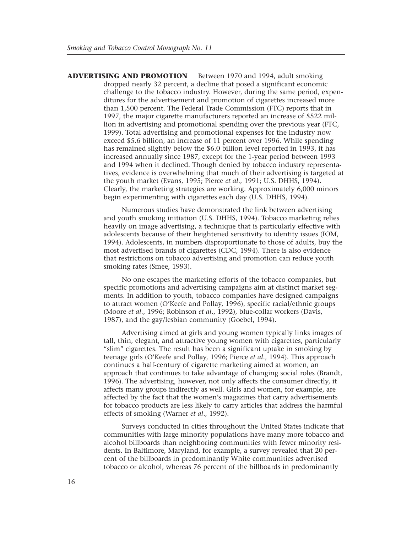**ADVERTISING AND PROMOTION** Between 1970 and 1994, adult smoking dropped nearly 32 percent, a decline that posed a significant economic challenge to the tobacco industry. However, during the same period, expenditures for the advertisement and promotion of cigarettes increased more than 1,500 percent. The Federal Trade Commission (FTC) reports that in 1997, the major cigarette manufacturers reported an increase of \$522 million in advertising and promotional spending over the previous year (FTC, 1999). Total advertising and promotional expenses for the industry now exceed \$5.6 billion, an increase of 11 percent over 1996. While spending has remained slightly below the \$6.0 billion level reported in 1993, it has increased annually since 1987, except for the 1-year period between 1993 and 1994 when it declined. Though denied by tobacco industry representatives, evidence is overwhelming that much of their advertising is targeted at the youth market (Evans, 1995; Pierce *et al*., 1991; U.S. DHHS, 1994). Clearly, the marketing strategies are working. Approximately 6,000 minors begin experimenting with cigarettes each day (U.S. DHHS, 1994).

> Numerous studies have demonstrated the link between advertising and youth smoking initiation (U.S. DHHS, 1994). Tobacco marketing relies heavily on image advertising, a technique that is particularly effective with adolescents because of their heightened sensitivity to identity issues (IOM, 1994). Adolescents, in numbers disproportionate to those of adults, buy the most advertised brands of cigarettes (CDC, 1994). There is also evidence that restrictions on tobacco advertising and promotion can reduce youth smoking rates (Smee, 1993).

No one escapes the marketing efforts of the tobacco companies, but specific promotions and advertising campaigns aim at distinct market segments. In addition to youth, tobacco companies have designed campaigns to attract women (O'Keefe and Pollay, 1996), specific racial/ethnic groups (Moore *et al*., 1996; Robinson *et al*., 1992), blue-collar workers (Davis, 1987), and the gay/lesbian community (Goebel, 1994).

Advertising aimed at girls and young women typically links images of tall, thin, elegant, and attractive young women with cigarettes, particularly "slim" cigarettes. The result has been a significant uptake in smoking by teenage girls (O'Keefe and Pollay, 1996; Pierce *et al*., 1994). This approach continues a half-century of cigarette marketing aimed at women, an approach that continues to take advantage of changing social roles (Brandt, 1996). The advertising, however, not only affects the consumer directly, it affects many groups indirectly as well. Girls and women, for example, are affected by the fact that the women's magazines that carry advertisements for tobacco products are less likely to carry articles that address the harmful effects of smoking (Warner *et al*., 1992).

Surveys conducted in cities throughout the United States indicate that communities with large minority populations have many more tobacco and alcohol billboards than neighboring communities with fewer minority residents. In Baltimore, Maryland, for example, a survey revealed that 20 percent of the billboards in predominantly White communities advertised tobacco or alcohol, whereas 76 percent of the billboards in predominantly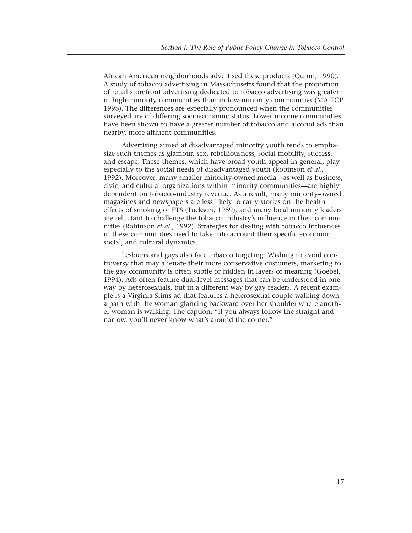African American neighborhoods advertised these products (Quinn, 1990). A study of tobacco advertising in Massachusetts found that the proportion of retail storefront advertising dedicated to tobacco advertising was greater in high-minority communities than in low-minority communities (MA TCP, 1998). The differences are especially pronounced when the communities surveyed are of differing socioeconomic status. Lower income communities have been shown to have a greater number of tobacco and alcohol ads than nearby, more affluent communities.

Advertising aimed at disadvantaged minority youth tends to emphasize such themes as glamour, sex, rebelliousness, social mobility, success, and escape. These themes, which have broad youth appeal in general, play especially to the social needs of disadvantaged youth (Robinson *et al*., 1992). Moreover, many smaller minority-owned media—as well as business, civic, and cultural organizations within minority communities—are highly dependent on tobacco-industry revenue. As a result, many minority-owned magazines and newspapers are less likely to carry stories on the health effects of smoking or ETS (Tuckson, 1989), and many local minority leaders are reluctant to challenge the tobacco industry's influence in their communities (Robinson *et al*., 1992). Strategies for dealing with tobacco influences in these communities need to take into account their specific economic, social, and cultural dynamics.

Lesbians and gays also face tobacco targeting. Wishing to avoid controversy that may alienate their more conservative customers, marketing to the gay community is often subtle or hidden in layers of meaning (Goebel, 1994). Ads often feature dual-level messages that can be understood in one way by heterosexuals, but in a different way by gay readers. A recent example is a Virginia Slims ad that features a heterosexual couple walking down a path with the woman glancing backward over her shoulder where another woman is walking. The caption: "If you always follow the straight and narrow, you'll never know what's around the corner."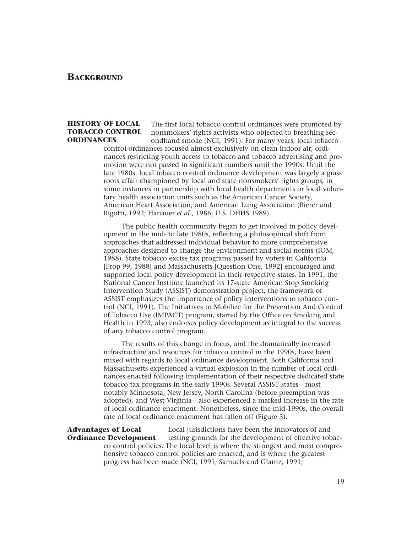### **BACKGROUND**

### **HISTORY OF LOCAL TOBACCO CONTROL ORDINANCES**

The first local tobacco control ordinances were promoted by nonsmokers' rights activists who objected to breathing secondhand smoke (NCI, 1991). For many years, local tobacco

control ordinances focused almost exclusively on clean indoor air; ordinances restricting youth access to tobacco and tobacco advertising and promotion were not passed in significant numbers until the 1990s. Until the late 1980s, local tobacco control ordinance development was largely a grass roots affair championed by local and state nonsmokers' rights groups, in some instances in partnership with local health departments or local voluntary health association units such as the American Cancer Society, American Heart Association, and American Lung Association (Bierer and Rigotti, 1992; Hanauer *et al*., 1986; U.S. DHHS 1989).

The public health community began to get involved in policy development in the mid- to late 1980s, reflecting a philosophical shift from approaches that addressed individual behavior to more comprehensive approaches designed to change the environment and social norms (IOM, 1988). State tobacco excise tax programs passed by voters in California [Prop 99, 1988] and Massachusetts [Question One, 1992] encouraged and supported local policy development in their respective states. In 1991, the National Cancer Institute launched its 17-state American Stop Smoking Intervention Study (ASSIST) demonstration project; the framework of ASSIST emphasizes the importance of policy interventions to tobacco control (NCI, 1991). The Initiatives to Mobilize for the Prevention And Control of Tobacco Use (IMPACT) program, started by the Office on Smoking and Health in 1993, also endorses policy development as integral to the success of any tobacco control program.

The results of this change in focus, and the dramatically increased infrastructure and resources for tobacco control in the 1990s, have been mixed with regards to local ordinance development. Both California and Massachusetts experienced a virtual explosion in the number of local ordinances enacted following implementation of their respective dedicated state tobacco tax programs in the early 1990s. Several ASSIST states—most notably Minnesota, New Jersey, North Carolina (before preemption was adopted), and West Virginia—also experienced a marked increase in the rate of local ordinance enactment. Nonetheless, since the mid-1990s, the overall rate of local ordinance enactment has fallen off (Figure 3).

### **Advantages of Local Ordinance Development**

Local jurisdictions have been the innovators of and testing grounds for the development of effective tobacco control policies. The local level is where the strongest and most comprehensive tobacco control policies are enacted, and is where the greatest progress has been made (NCI, 1991; Samuels and Glantz, 1991;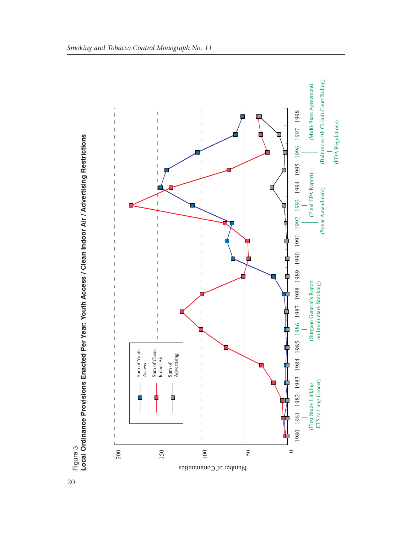

20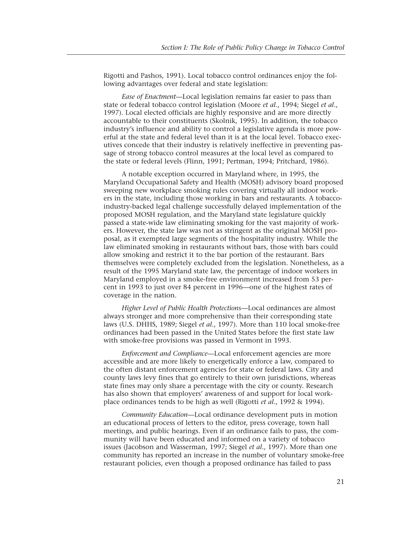Rigotti and Pashos, 1991). Local tobacco control ordinances enjoy the following advantages over federal and state legislation:

*Ease of Enactment*—Local legislation remains far easier to pass than state or federal tobacco control legislation (Moore *et al*., 1994; Siegel *et al*., 1997). Local elected officials are highly responsive and are more directly accountable to their constituents (Skolnik, 1995). In addition, the tobacco industry's influence and ability to control a legislative agenda is more powerful at the state and federal level than it is at the local level. Tobacco executives concede that their industry is relatively ineffective in preventing passage of strong tobacco control measures at the local level as compared to the state or federal levels (Flinn, 1991; Pertman, 1994; Pritchard, 1986).

A notable exception occurred in Maryland where, in 1995, the Maryland Occupational Safety and Health (MOSH) advisory board proposed sweeping new workplace smoking rules covering virtually all indoor workers in the state, including those working in bars and restaurants. A tobaccoindustry-backed legal challenge successfully delayed implementation of the proposed MOSH regulation, and the Maryland state legislature quickly passed a state-wide law eliminating smoking for the vast majority of workers. However, the state law was not as stringent as the original MOSH proposal, as it exempted large segments of the hospitality industry. While the law eliminated smoking in restaurants without bars, those with bars could allow smoking and restrict it to the bar portion of the restaurant. Bars themselves were completely excluded from the legislation. Nonetheless, as a result of the 1995 Maryland state law, the percentage of indoor workers in Maryland employed in a smoke-free environment increased from 53 percent in 1993 to just over 84 percent in 1996—one of the highest rates of coverage in the nation.

*Higher Level of Public Health Protections*—Local ordinances are almost always stronger and more comprehensive than their corresponding state laws (U.S. DHHS, 1989; Siegel *et al*., 1997). More than 110 local smoke-free ordinances had been passed in the United States before the first state law with smoke-free provisions was passed in Vermont in 1993.

*Enforcement and Compliance*—Local enforcement agencies are more accessible and are more likely to energetically enforce a law, compared to the often distant enforcement agencies for state or federal laws. City and county laws levy fines that go entirely to their own jurisdictions, whereas state fines may only share a percentage with the city or county. Research has also shown that employers' awareness of and support for local workplace ordinances tends to be high as well (Rigotti *et al*., 1992 & 1994).

*Community Education*—Local ordinance development puts in motion an educational process of letters to the editor, press coverage, town hall meetings, and public hearings. Even if an ordinance fails to pass, the community will have been educated and informed on a variety of tobacco issues (Jacobson and Wasserman, 1997; Siegel *et al*., 1997). More than one community has reported an increase in the number of voluntary smoke-free restaurant policies, even though a proposed ordinance has failed to pass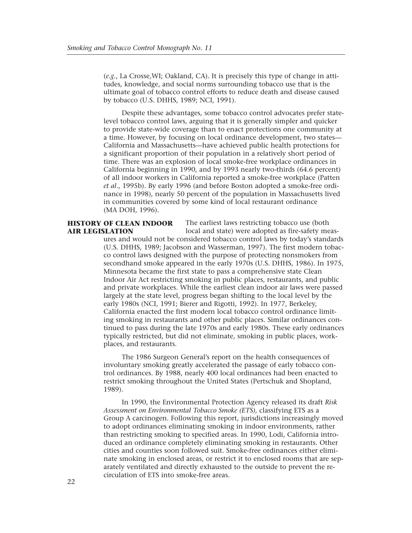(*e.g.*, La Crosse,WI; Oakland, CA). It is precisely this type of change in attitudes, knowledge, and social norms surrounding tobacco use that is the ultimate goal of tobacco control efforts to reduce death and disease caused by tobacco (U.S. DHHS, 1989; NCI, 1991).

Despite these advantages, some tobacco control advocates prefer statelevel tobacco control laws, arguing that it is generally simpler and quicker to provide state-wide coverage than to enact protections one community at a time. However, by focusing on local ordinance development, two states— California and Massachusetts—have achieved public health protections for a significant proportion of their population in a relatively short period of time. There was an explosion of local smoke-free workplace ordinances in California beginning in 1990, and by 1993 nearly two-thirds (64.6 percent) of all indoor workers in California reported a smoke-free workplace (Patten *et al*., 1995b). By early 1996 (and before Boston adopted a smoke-free ordinance in 1998), nearly 50 percent of the population in Massachusetts lived in communities covered by some kind of local restaurant ordinance (MA DOH, 1996).

### **HISTORY OF CLEAN INDOOR AIR LEGISLATION**

The earliest laws restricting tobacco use (both

local and state) were adopted as fire-safety measures and would not be considered tobacco control laws by today's standards (U.S. DHHS, 1989; Jacobson and Wasserman, 1997). The first modern tobacco control laws designed with the purpose of protecting nonsmokers from secondhand smoke appeared in the early 1970s (U.S. DHHS, 1986). In 1975, Minnesota became the first state to pass a comprehensive state Clean Indoor Air Act restricting smoking in public places, restaurants, and public and private workplaces. While the earliest clean indoor air laws were passed largely at the state level, progress began shifting to the local level by the early 1980s (NCI, 1991; Bierer and Rigotti, 1992). In 1977, Berkeley, California enacted the first modern local tobacco control ordinance limiting smoking in restaurants and other public places. Similar ordinances continued to pass during the late 1970s and early 1980s. These early ordinances typically restricted, but did not eliminate, smoking in public places, workplaces, and restaurants.

The 1986 Surgeon General's report on the health consequences of involuntary smoking greatly accelerated the passage of early tobacco control ordinances. By 1988, nearly 400 local ordinances had been enacted to restrict smoking throughout the United States (Pertschuk and Shopland, 1989).

In 1990, the Environmental Protection Agency released its draft *Risk Assessment on Environmental Tobacco Smoke (ETS),* classifying ETS as a Group A carcinogen. Following this report, jurisdictions increasingly moved to adopt ordinances eliminating smoking in indoor environments, rather than restricting smoking to specified areas. In 1990, Lodi, California introduced an ordinance completely eliminating smoking in restaurants. Other cities and counties soon followed suit. Smoke-free ordinances either eliminate smoking in enclosed areas, or restrict it to enclosed rooms that are separately ventilated and directly exhausted to the outside to prevent the recirculation of ETS into smoke-free areas.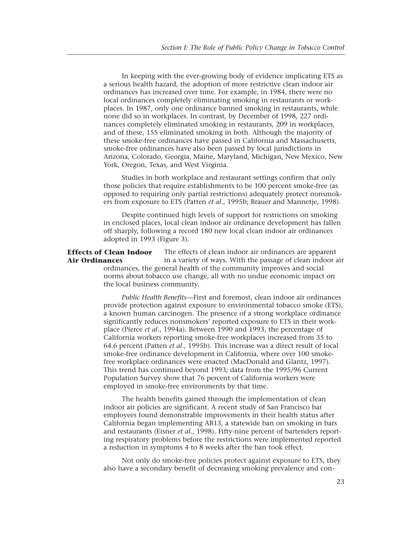In keeping with the ever-growing body of evidence implicating ETS as a serious health hazard, the adoption of more restrictive clean indoor air ordinances has increased over time. For example, in 1984, there were no local ordinances completely eliminating smoking in restaurants or workplaces. In 1987, only one ordinance banned smoking in restaurants, while none did so in workplaces. In contrast, by December of 1998, 227 ordinances completely eliminated smoking in restaurants, 209 in workplaces, and of these, 155 eliminated smoking in both. Although the majority of these smoke-free ordinances have passed in California and Massachusetts, smoke-free ordinances have also been passed by local jurisdictions in Arizona, Colorado, Georgia, Maine, Maryland, Michigan, New Mexico, New York, Oregon, Texas, and West Virginia.

Studies in both workplace and restaurant settings confirm that only those policies that require establishments to be 100 percent smoke-free (as opposed to requiring only partial restrictions) adequately protect nonsmokers from exposure to ETS (Patten *et al*., 1995b; Brauer and Mannetje, 1998).

Despite continued high levels of support for restrictions on smoking in enclosed places, local clean indoor air ordinance development has fallen off sharply, following a record 180 new local clean indoor air ordinances adopted in 1993 (Figure 3).

The effects of clean indoor air ordinances are apparent in a variety of ways. With the passage of clean indoor air ordinances, the general health of the community improves and social norms about tobacco use change, all with no undue economic impact on the local business community. **Effects of Clean Indoor Air Ordinances**

> *Public Health Benefits*—First and foremost, clean indoor air ordinances provide protection against exposure to environmental tobacco smoke (ETS), a known human carcinogen. The presence of a strong workplace ordinance significantly reduces nonsmokers' reported exposure to ETS in their workplace (Pierce *et al*., 1994a). Between 1990 and 1993, the percentage of California workers reporting smoke-free workplaces increased from 35 to 64.6 percent (Patten *et al*., 1995b). This increase was a direct result of local smoke-free ordinance development in California, where over 100 smokefree workplace ordinances were enacted (MacDonald and Glantz, 1997). This trend has continued beyond 1993; data from the 1995/96 Current Population Survey show that 76 percent of California workers were employed in smoke-free environments by that time.

> The health benefits gained through the implementation of clean indoor air policies are significant. A recent study of San Francisco bar employees found demonstrable improvements in their health status after California began implementing AB13, a statewide ban on smoking in bars and restaurants (Eisner *et al*., 1998). Fifty-nine percent of bartenders reporting respiratory problems before the restrictions were implemented reported a reduction in symptoms 4 to 8 weeks after the ban took effect.

> Not only do smoke-free policies protect against exposure to ETS, they also have a secondary benefit of decreasing smoking prevalence and con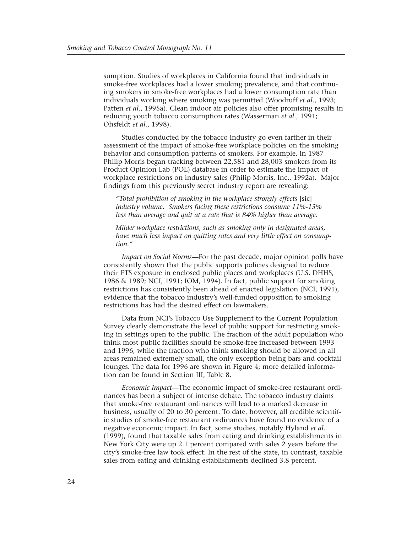sumption. Studies of workplaces in California found that individuals in smoke-free workplaces had a lower smoking prevalence, and that continuing smokers in smoke-free workplaces had a lower consumption rate than individuals working where smoking was permitted (Woodruff *et al*., 1993; Patten *et al*., 1995a). Clean indoor air policies also offer promising results in reducing youth tobacco consumption rates (Wasserman *et al*., 1991; Ohsfeldt *et al*., 1998).

Studies conducted by the tobacco industry go even farther in their assessment of the impact of smoke-free workplace policies on the smoking behavior and consumption patterns of smokers. For example, in 1987 Philip Morris began tracking between 22,581 and 28,003 smokers from its Product Opinion Lab (POL) database in order to estimate the impact of workplace restrictions on industry sales (Philip Morris, Inc., 1992a). Major findings from this previously secret industry report are revealing:

*"Total prohibition of smoking in the workplace strongly effects* [sic] *industry volume. Smokers facing these restrictions consume 11%-15% less than average and quit at a rate that is 84% higher than average.*

*Milder workplace restrictions, such as smoking only in designated areas, have much less impact on quitting rates and very little effect on consumption."*

*Impact on Social Norms*—For the past decade, major opinion polls have consistently shown that the public supports policies designed to reduce their ETS exposure in enclosed public places and workplaces (U.S. DHHS, 1986 & 1989; NCI, 1991; IOM, 1994). In fact, public support for smoking restrictions has consistently been ahead of enacted legislation (NCI, 1991), evidence that the tobacco industry's well-funded opposition to smoking restrictions has had the desired effect on lawmakers.

Data from NCI's Tobacco Use Supplement to the Current Population Survey clearly demonstrate the level of public support for restricting smoking in settings open to the public. The fraction of the adult population who think most public facilities should be smoke-free increased between 1993 and 1996, while the fraction who think smoking should be allowed in all areas remained extremely small, the only exception being bars and cocktail lounges. The data for 1996 are shown in Figure 4; more detailed information can be found in Section III, Table 8.

*Economic Impact*—The economic impact of smoke-free restaurant ordinances has been a subject of intense debate. The tobacco industry claims that smoke-free restaurant ordinances will lead to a marked decrease in business, usually of 20 to 30 percent. To date, however, all credible scientific studies of smoke-free restaurant ordinances have found no evidence of a negative economic impact. In fact, some studies, notably Hyland *et al*. (1999), found that taxable sales from eating and drinking establishments in New York City were up 2.1 percent compared with sales 2 years before the city's smoke-free law took effect. In the rest of the state, in contrast, taxable sales from eating and drinking establishments declined 3.8 percent.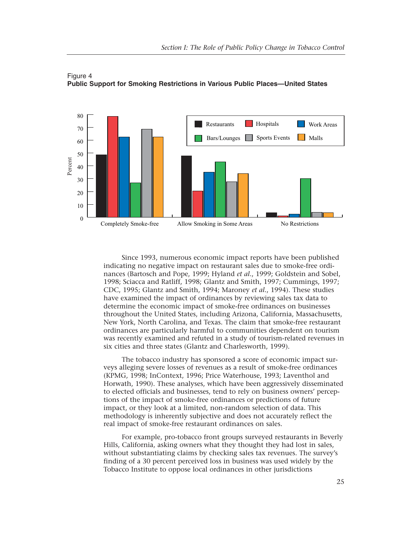

Figure 4 **Public Support for Smoking Restrictions in Various Public Places—United States**

Since 1993, numerous economic impact reports have been published indicating no negative impact on restaurant sales due to smoke-free ordinances (Bartosch and Pope, 1999; Hyland *et al*., 1999; Goldstein and Sobel, 1998; Sciacca and Ratliff, 1998; Glantz and Smith, 1997; Cummings, 1997; CDC, 1995; Glantz and Smith, 1994; Maroney *et al.*, 1994). These studies have examined the impact of ordinances by reviewing sales tax data to determine the economic impact of smoke-free ordinances on businesses throughout the United States, including Arizona, California, Massachusetts, New York, North Carolina, and Texas. The claim that smoke-free restaurant ordinances are particularly harmful to communities dependent on tourism was recently examined and refuted in a study of tourism-related revenues in six cities and three states (Glantz and Charlesworth, 1999).

The tobacco industry has sponsored a score of economic impact surveys alleging severe losses of revenues as a result of smoke-free ordinances (KPMG, 1998; InContext, 1996; Price Waterhouse, 1993; Laventhol and Horwath, 1990). These analyses, which have been aggressively disseminated to elected officials and businesses, tend to rely on business owners' perceptions of the impact of smoke-free ordinances or predictions of future impact, or they look at a limited, non-random selection of data. This methodology is inherently subjective and does not accurately reflect the real impact of smoke-free restaurant ordinances on sales.

For example, pro-tobacco front groups surveyed restaurants in Beverly Hills, California, asking owners what they thought they had lost in sales, without substantiating claims by checking sales tax revenues. The survey's finding of a 30 percent perceived loss in business was used widely by the Tobacco Institute to oppose local ordinances in other jurisdictions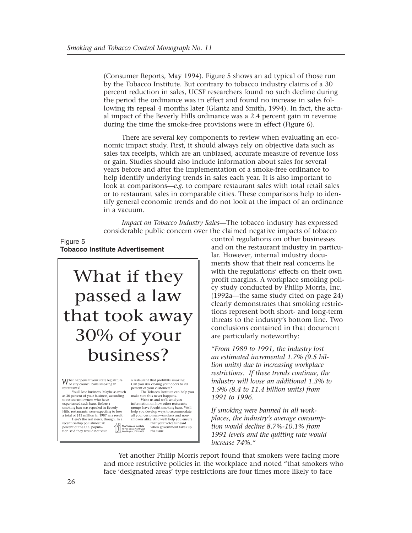(Consumer Reports, May 1994). Figure 5 shows an ad typical of those run by the Tobacco Institute. But contrary to tobacco industry claims of a 30 percent reduction in sales, UCSF researchers found no such decline during the period the ordinance was in effect and found no increase in sales following its repeal 4 months later (Glantz and Smith, 1994). In fact, the actual impact of the Beverly Hills ordinance was a 2.4 percent gain in revenue during the time the smoke-free provisions were in effect (Figure 6).

There are several key components to review when evaluating an economic impact study. First, it should always rely on objective data such as sales tax receipts, which are an unbiased, accurate measure of revenue loss or gain. Studies should also include information about sales for several years before and after the implementation of a smoke-free ordinance to help identify underlying trends in sales each year. It is also important to look at comparisons—*e.g.* to compare restaurant sales with total retail sales or to restaurant sales in comparable cities. These comparisons help to identify general economic trends and do not look at the impact of an ordinance in a vacuum.

*Impact on Tobacco Industry Sales*—The tobacco industry has expressed considerable public concern over the claimed negative impacts of tobacco

### Figure 5 **Tobacco Institute Advertisement**



What happens if your state legislature<br>restaurants?<br>restaurants?

You'll lose business. Maybe as much as 30 percent of your business, according to restaurant owners who have experienced such bans. Before a smoking ban was repealed in Beverly Hills, restaurants were expecting to lose

a total of \$12 million in 1987 as a result. Here's the real news, though. In a 11

recent Gallup poll almost 20 percent of the U.S. popula-tion said they would not visit

a restaurant that prohibits smoking. Can you risk closing your doors to 20 percent of your customers?

**The Tobacco Institute** Weehington, DC 20008 Washington, DC 20008 The Tobacco Institute can help you make sure this never happens. Write us and we'll send you information on how other resturants groups have fought smoking bans. We'll help you develop ways to accommodate all your customers—smokers and non-smokers alike. And we'll help you ensure that your voice is heard when government takes up the issue.

control regulations on other businesses and on the restaurant industry in particular. However, internal industry documents show that their real concerns lie with the regulations' effects on their own profit margins. A workplace smoking policy study conducted by Philip Morris, Inc. (1992a—the same study cited on page 24) clearly demonstrates that smoking restrictions represent both short- and long-term threats to the industry's bottom line. Two conclusions contained in that document are particularly noteworthy:

*"From 1989 to 1991, the industry lost an estimated incremental 1.7% (9.5 billion units) due to increasing workplace restrictions. If these trends continue, the industry will loose an additional 1.3% to 1.9% (8.4 to 11.4 billion units) from 1991 to 1996.*

*If smoking were banned in all workplaces, the industry's average consumption would decline 8.7%-10.1% from 1991 levels and the quitting rate would increase 74%."*

Yet another Philip Morris report found that smokers were facing more and more restrictive policies in the workplace and noted "that smokers who face 'designated areas' type restrictions are four times more likely to face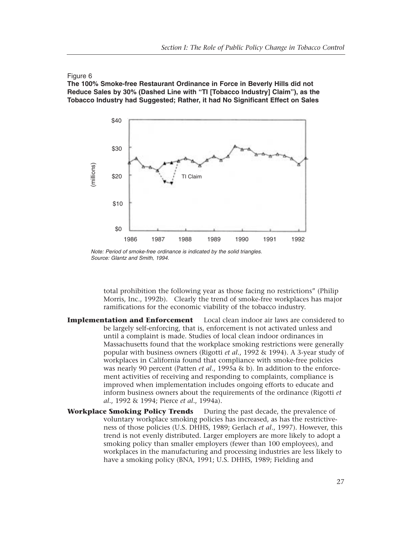### Figure 6

**The 100% Smoke-free Restaurant Ordinance in Force in Beverly Hills did not Reduce Sales by 30% (Dashed Line with "TI [Tobacco Industry] Claim"), as the Tobacco Industry had Suggested; Rather, it had No Significant Effect on Sales**



*Note: Period of smoke-free ordinance is indicated by the solid triangles. Source: Glantz and Smith, 1994.*

total prohibition the following year as those facing no restrictions" (Philip Morris, Inc., 1992b). Clearly the trend of smoke-free workplaces has major ramifications for the economic viability of the tobacco industry.

- **Implementation and Enforcement** Local clean indoor air laws are considered to be largely self-enforcing, that is, enforcement is not activated unless and until a complaint is made. Studies of local clean indoor ordinances in Massachusetts found that the workplace smoking restrictions were generally popular with business owners (Rigotti *et al*., 1992 & 1994). A 3-year study of workplaces in California found that compliance with smoke-free policies was nearly 90 percent (Patten *et al*., 1995a & b). In addition to the enforcement activities of receiving and responding to complaints, compliance is improved when implementation includes ongoing efforts to educate and inform business owners about the requirements of the ordinance (Rigotti *et al*., 1992 & 1994; Pierce *et al*., 1994a).
- **Workplace Smoking Policy Trends** During the past decade, the prevalence of voluntary workplace smoking policies has increased, as has the restrictiveness of those policies (U.S. DHHS, 1989; Gerlach *et al*., 1997). However, this trend is not evenly distributed. Larger employers are more likely to adopt a smoking policy than smaller employers (fewer than 100 employees), and workplaces in the manufacturing and processing industries are less likely to have a smoking policy (BNA, 1991; U.S. DHHS, 1989; Fielding and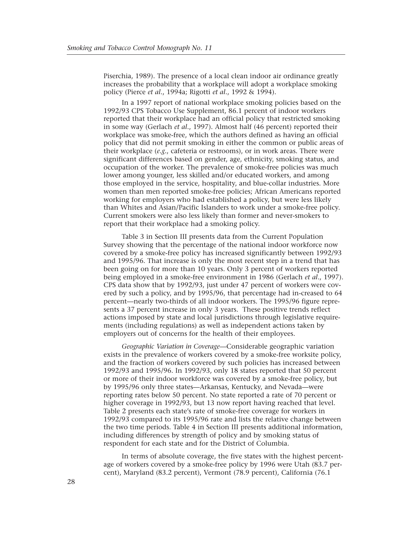Piserchia, 1989). The presence of a local clean indoor air ordinance greatly increases the probability that a workplace will adopt a workplace smoking policy (Pierce *et al*., 1994a; Rigotti *et al*., 1992 & 1994).

In a 1997 report of national workplace smoking policies based on the 1992/93 CPS Tobacco Use Supplement, 86.1 percent of indoor workers reported that their workplace had an official policy that restricted smoking in some way (Gerlach *et al*., 1997). Almost half (46 percent) reported their workplace was smoke-free, which the authors defined as having an official policy that did not permit smoking in either the common or public areas of their workplace (*e.g.*, cafeteria or restrooms), or in work areas. There were significant differences based on gender, age, ethnicity, smoking status, and occupation of the worker. The prevalence of smoke-free policies was much lower among younger, less skilled and/or educated workers, and among those employed in the service, hospitality, and blue-collar industries. More women than men reported smoke-free policies; African Americans reported working for employers who had established a policy, but were less likely than Whites and Asian/Pacific Islanders to work under a smoke-free policy. Current smokers were also less likely than former and never-smokers to report that their workplace had a smoking policy.

Table 3 in Section III presents data from the Current Population Survey showing that the percentage of the national indoor workforce now covered by a smoke-free policy has increased significantly between 1992/93 and 1995/96. That increase is only the most recent step in a trend that has been going on for more than 10 years. Only 3 percent of workers reported being employed in a smoke-free environment in 1986 (Gerlach *et al*., 1997). CPS data show that by 1992/93, just under 47 percent of workers were covered by such a policy, and by 1995/96, that percentage had in-creased to 64 percent—nearly two-thirds of all indoor workers. The 1995/96 figure represents a 37 percent increase in only 3 years. These positive trends reflect actions imposed by state and local jurisdictions through legislative requirements (including regulations) as well as independent actions taken by employers out of concerns for the health of their employees.

*Geographic Variation in Coverage*—Considerable geographic variation exists in the prevalence of workers covered by a smoke-free worksite policy, and the fraction of workers covered by such policies has increased between 1992/93 and 1995/96. In 1992/93, only 18 states reported that 50 percent or more of their indoor workforce was covered by a smoke-free policy, but by 1995/96 only three states—Arkansas, Kentucky, and Nevada—were reporting rates below 50 percent. No state reported a rate of 70 percent or higher coverage in 1992/93, but 13 now report having reached that level. Table 2 presents each state's rate of smoke-free coverage for workers in 1992/93 compared to its 1995/96 rate and lists the relative change between the two time periods. Table 4 in Section III presents additional information, including differences by strength of policy and by smoking status of respondent for each state and for the District of Columbia.

In terms of absolute coverage, the five states with the highest percentage of workers covered by a smoke-free policy by 1996 were Utah (83.7 percent), Maryland (83.2 percent), Vermont (78.9 percent), California (76.1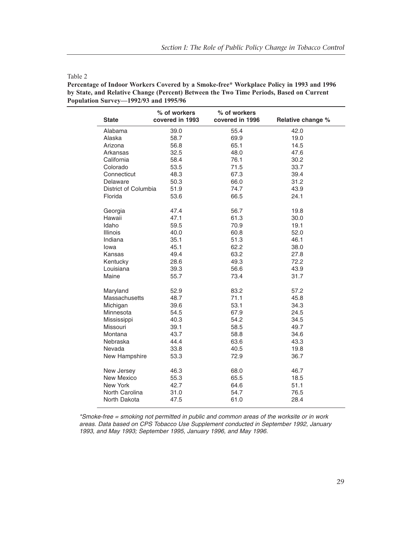| <b>State</b>         | % of workers<br>covered in 1993 | % of workers<br>covered in 1996 | Relative change % |
|----------------------|---------------------------------|---------------------------------|-------------------|
| Alabama              | 39.0                            | 55.4                            | 42.0              |
| Alaska               | 58.7                            | 69.9                            | 19.0              |
| Arizona              | 56.8                            | 65.1                            | 14.5              |
| Arkansas             | 32.5                            | 48.0                            | 47.6              |
| California           | 58.4                            | 76.1                            | 30.2              |
| Colorado             | 53.5                            | 71.5                            | 33.7              |
| Connecticut          | 48.3                            | 67.3                            | 39.4              |
| Delaware             | 50.3                            | 66.0                            | 31.2              |
| District of Columbia | 51.9                            | 74.7                            | 43.9              |
| Florida              | 53.6                            | 66.5                            | 24.1              |
| Georgia              | 47.4                            | 56.7                            | 19.8              |
| Hawaii               | 47.1                            | 61.3                            | 30.0              |
| Idaho                | 59.5                            | 70.9                            | 19.1              |
| Illinois             | 40.0                            | 60.8                            | 52.0              |
| Indiana              | 35.1                            | 51.3                            | 46.1              |
| lowa                 | 45.1                            | 62.2                            | 38.0              |
| Kansas               | 49.4                            | 63.2                            | 27.8              |
| Kentucky             | 28.6                            | 49.3                            | 72.2              |
| Louisiana            | 39.3                            | 56.6                            | 43.9              |
| Maine                | 55.7                            | 73.4                            | 31.7              |
| Maryland             | 52.9                            | 83.2                            | 57.2              |
| Massachusetts        | 48.7                            | 71.1                            | 45.8              |
| Michigan             | 39.6                            | 53.1                            | 34.3              |
| Minnesota            | 54.5                            | 67.9                            | 24.5              |
| Mississippi          | 40.3                            | 54.2                            | 34.5              |
| Missouri             | 39.1                            | 58.5                            | 49.7              |
| Montana              | 43.7                            | 58.8                            | 34.6              |
| Nebraska             | 44.4                            | 63.6                            | 43.3              |
| Nevada               | 33.8                            | 40.5                            | 19.8              |
| New Hampshire        | 53.3                            | 72.9                            | 36.7              |
| New Jersey           | 46.3                            | 68.0                            | 46.7              |
| New Mexico           | 55.3                            | 65.5                            | 18.5              |
| New York             | 42.7                            | 64.6                            | 51.1              |
| North Carolina       | 31.0                            | 54.7                            | 76.5              |
| North Dakota         | 47.5                            | 61.0                            | 28.4              |

#### Table 2

**Percentage of Indoor Workers Covered by a Smoke-free\* Workplace Policy in 1993 and 1996 by State, and Relative Change (Percent) Between the Two Time Periods, Based on Current Population Survey—1992/93 and 1995/96**

*\*Smoke-free = smoking not permitted in public and common areas of the worksite or in work areas. Data based on CPS Tobacco Use Supplement conducted in September 1992, January 1993, and May 1993; September 1995, January 1996, and May 1996.*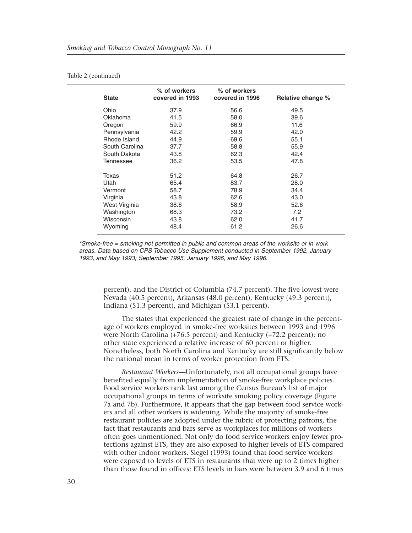#### Table 2 (continued)

| <b>State</b>   | % of workers<br>covered in 1993 | % of workers<br>covered in 1996 | Relative change % |  |  |  |
|----------------|---------------------------------|---------------------------------|-------------------|--|--|--|
| Ohio           | 37.9                            | 56.6                            | 49.5              |  |  |  |
| Oklahoma       | 41.5                            | 58.0                            | 39.6              |  |  |  |
| Oregon         | 59.9                            | 66.9                            | 11.6              |  |  |  |
| Pennsylvania   | 42.2                            | 59.9                            | 42.0              |  |  |  |
| Rhode Island   | 44.9                            | 69.6                            | 55.1              |  |  |  |
| South Carolina | 37.7                            | 58.8                            | 55.9              |  |  |  |
| South Dakota   | 43.8                            | 62.3                            | 42.4              |  |  |  |
| Tennessee      | 36.2                            | 53.5                            | 47.8              |  |  |  |
| Texas          | 51.2                            | 64.8                            | 26.7              |  |  |  |
| Utah           | 65.4                            | 83.7                            | 28.0              |  |  |  |
| Vermont        | 58.7                            | 78.9                            | 34.4              |  |  |  |
| Virginia       | 43.8                            | 62.6                            | 43.0              |  |  |  |
| West Virginia  | 38.6                            | 58.9                            | 52.6              |  |  |  |
| Washington     | 68.3                            | 73.2                            | 7.2               |  |  |  |
| Wisconsin      | 43.8                            | 62.0                            | 41.7              |  |  |  |
| Wyoming        | 48.4                            | 61.2                            | 26.6              |  |  |  |

*\*Smoke-free = smoking not permitted in public and common areas of the worksite or in work areas. Data based on CPS Tobacco Use Supplement conducted in September 1992, January 1993, and May 1993; September 1995, January 1996, and May 1996.*

percent), and the District of Columbia (74.7 percent). The five lowest were Nevada (40.5 percent), Arkansas (48.0 percent), Kentucky (49.3 percent), Indiana (51.3 percent), and Michigan (53.1 percent).

The states that experienced the greatest rate of change in the percentage of workers employed in smoke-free worksites between 1993 and 1996 were North Carolina (+76.5 percent) and Kentucky (+72.2 percent); no other state experienced a relative increase of 60 percent or higher. Nonetheless, both North Carolina and Kentucky are still significantly below the national mean in terms of worker protection from ETS.

*Restaurant Workers*—Unfortunately, not all occupational groups have benefited equally from implementation of smoke-free workplace policies. Food service workers rank last among the Census Bureau's list of major occupational groups in terms of worksite smoking policy coverage (Figure 7a and 7b). Furthermore, it appears that the gap between food service workers and all other workers is widening. While the majority of smoke-free restaurant policies are adopted under the rubric of protecting patrons, the fact that restaurants and bars serve as workplaces for millions of workers often goes unmentioned. Not only do food service workers enjoy fewer protections against ETS, they are also exposed to higher levels of ETS compared with other indoor workers. Siegel (1993) found that food service workers were exposed to levels of ETS in restaurants that were up to 2 times higher than those found in offices; ETS levels in bars were between 3.9 and 6 times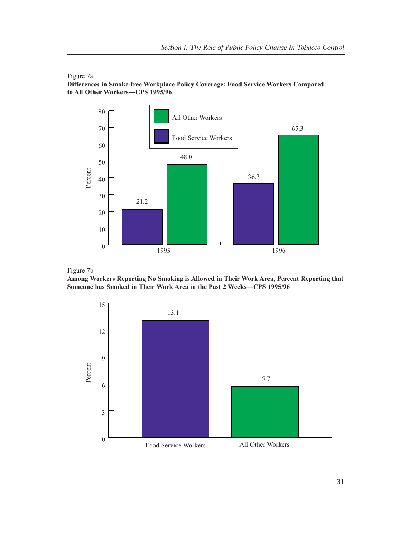

Figure 7a **Differences in Smoke-free Workplace Policy Coverage: Food Service Workers Compared to All Other Workers—CPS 1995/96**



**Among Workers Reporting No Smoking is Allowed in Their Work Area, Percent Reporting that Someone has Smoked in Their Work Area in the Past 2 Weeks—CPS 1995/96**

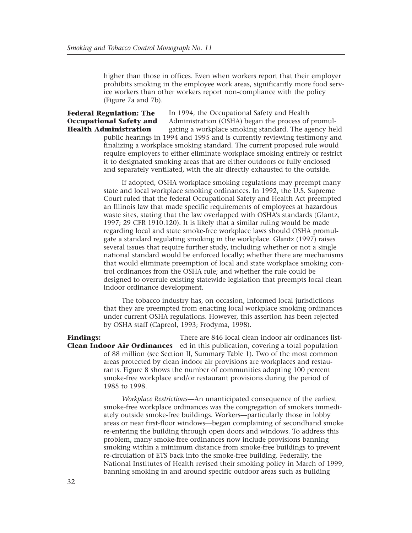higher than those in offices. Even when workers report that their employer prohibits smoking in the employee work areas, significantly more food service workers than other workers report non-compliance with the policy (Figure 7a and 7b).

### **Federal Regulation: The Occupational Safety and Health Administration**

In 1994, the Occupational Safety and Health Administration (OSHA) began the process of promulgating a workplace smoking standard. The agency held public hearings in 1994 and 1995 and is currently reviewing testimony and finalizing a workplace smoking standard. The current proposed rule would require employers to either eliminate workplace smoking entirely or restrict it to designated smoking areas that are either outdoors or fully enclosed and separately ventilated, with the air directly exhausted to the outside.

If adopted, OSHA workplace smoking regulations may preempt many state and local workplace smoking ordinances. In 1992, the U.S. Supreme Court ruled that the federal Occupational Safety and Health Act preempted an Illinois law that made specific requirements of employees at hazardous waste sites, stating that the law overlapped with OSHA's standards (Glantz, 1997; 29 CFR 1910.120). It is likely that a similar ruling would be made regarding local and state smoke-free workplace laws should OSHA promulgate a standard regulating smoking in the workplace. Glantz (1997) raises several issues that require further study, including whether or not a single national standard would be enforced locally; whether there are mechanisms that would eliminate preemption of local and state workplace smoking control ordinances from the OSHA rule; and whether the rule could be designed to overrule existing statewide legislation that preempts local clean indoor ordinance development.

The tobacco industry has, on occasion, informed local jurisdictions that they are preempted from enacting local workplace smoking ordinances under current OSHA regulations. However, this assertion has been rejected by OSHA staff (Capreol, 1993; Frodyma, 1998).

There are 846 local clean indoor air ordinances list-**Clean Indoor Air Ordinances** ed in this publication, covering a total population of 88 million (see Section II, Summary Table 1). Two of the most common areas protected by clean indoor air provisions are workplaces and restaurants. Figure 8 shows the number of communities adopting 100 percent smoke-free workplace and/or restaurant provisions during the period of 1985 to 1998. **Findings:** 

> *Workplace Restrictions*—An unanticipated consequence of the earliest smoke-free workplace ordinances was the congregation of smokers immediately outside smoke-free buildings. Workers—particularly those in lobby areas or near first-floor windows—began complaining of secondhand smoke re-entering the building through open doors and windows. To address this problem, many smoke-free ordinances now include provisions banning smoking within a minimum distance from smoke-free buildings to prevent re-circulation of ETS back into the smoke-free building. Federally, the National Institutes of Health revised their smoking policy in March of 1999, banning smoking in and around specific outdoor areas such as building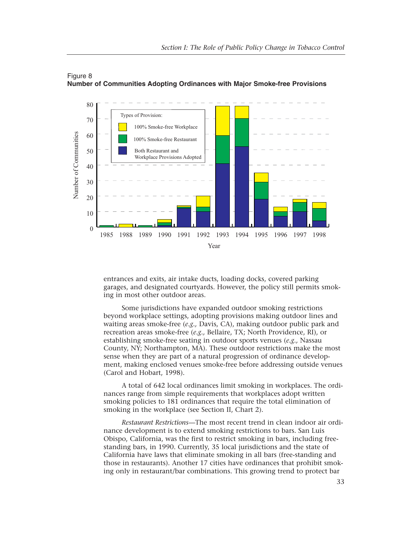



entrances and exits, air intake ducts, loading docks, covered parking garages, and designated courtyards. However, the policy still permits smoking in most other outdoor areas.

Some jurisdictions have expanded outdoor smoking restrictions beyond workplace settings, adopting provisions making outdoor lines and waiting areas smoke-free (*e.g.,* Davis, CA), making outdoor public park and recreation areas smoke-free (*e.g.,* Bellaire, TX; North Providence, RI), or establishing smoke-free seating in outdoor sports venues (*e.g.,* Nassau County, NY; Northampton, MA). These outdoor restrictions make the most sense when they are part of a natural progression of ordinance development, making enclosed venues smoke-free before addressing outside venues (Carol and Hobart, 1998).

A total of 642 local ordinances limit smoking in workplaces. The ordinances range from simple requirements that workplaces adopt written smoking policies to 181 ordinances that require the total elimination of smoking in the workplace (see Section II, Chart 2).

*Restaurant Restrictions*—The most recent trend in clean indoor air ordinance development is to extend smoking restrictions to bars. San Luis Obispo, California, was the first to restrict smoking in bars, including freestanding bars, in 1990. Currently, 35 local jurisdictions and the state of California have laws that eliminate smoking in all bars (free-standing and those in restaurants). Another 17 cities have ordinances that prohibit smoking only in restaurant/bar combinations. This growing trend to protect bar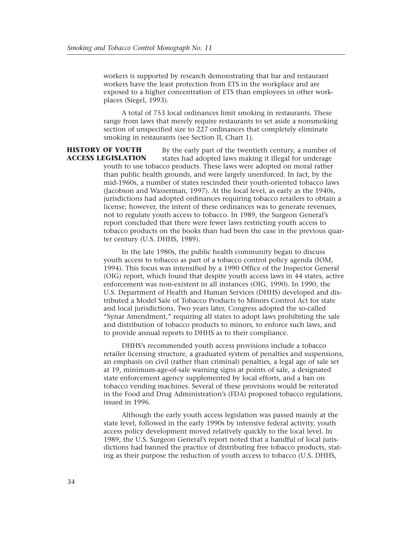workers is supported by research demonstrating that bar and restaurant workers have the least protection from ETS in the workplace and are exposed to a higher concentration of ETS than employees in other workplaces (Siegel, 1993).

A total of 753 local ordinances limit smoking in restaurants. These range from laws that merely require restaurants to set aside a nonsmoking section of unspecified size to 227 ordinances that completely eliminate smoking in restaurants (see Section II, Chart 1).

By the early part of the twentieth century, a number of states had adopted laws making it illegal for underage youth to use tobacco products. These laws were adopted on moral rather than public health grounds, and were largely unenforced. In fact, by the mid-1960s, a number of states rescinded their youth-oriented tobacco laws (Jacobson and Wasserman, 1997). At the local level, as early as the 1940s, jurisdictions had adopted ordinances requiring tobacco retailers to obtain a license; however, the intent of these ordinances was to generate revenues, not to regulate youth access to tobacco. In 1989, the Surgeon General's report concluded that there were fewer laws restricting youth access to tobacco products on the books than had been the case in the previous quarter century (U.S. DHHS, 1989). **HISTORY OF YOUTH ACCESS LEGISLATION**

> In the late 1980s, the public health community began to discuss youth access to tobacco as part of a tobacco control policy agenda (IOM, 1994). This focus was intensified by a 1990 Office of the Inspector General (OIG) report, which found that despite youth access laws in 44 states, active enforcement was non-existent in all instances (OIG, 1990). In 1990, the U.S. Department of Health and Human Services (DHHS) developed and distributed a Model Sale of Tobacco Products to Minors Control Act for state and local jurisdictions. Two years later, Congress adopted the so-called "Synar Amendment," requiring all states to adopt laws prohibiting the sale and distribution of tobacco products to minors, to enforce such laws, and to provide annual reports to DHHS as to their compliance.

> DHHS's recommended youth access provisions include a tobacco retailer licensing structure, a graduated system of penalties and suspensions, an emphasis on civil (rather than criminal) penalties, a legal age of sale set at 19, minimum-age-of-sale warning signs at points of sale, a designated state enforcement agency supplemented by local efforts, and a ban on tobacco vending machines. Several of these provisions would be reiterated in the Food and Drug Administration's (FDA) proposed tobacco regulations, issued in 1996.

> Although the early youth access legislation was passed mainly at the state level, followed in the early 1990s by intensive federal activity, youth access policy development moved relatively quickly to the local level. In 1989, the U.S. Surgeon General's report noted that a handful of local jurisdictions had banned the practice of distributing free tobacco products, stating as their purpose the reduction of youth access to tobacco (U.S. DHHS,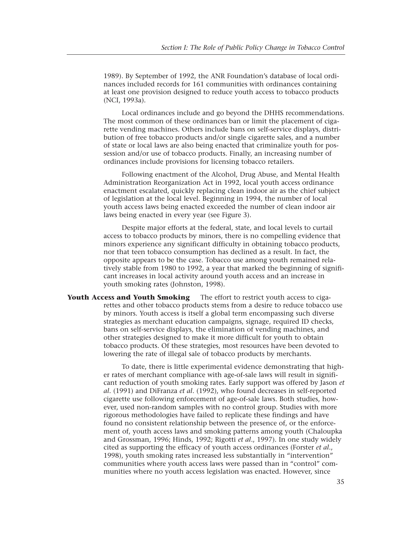1989). By September of 1992, the ANR Foundation's database of local ordinances included records for 161 communities with ordinances containing at least one provision designed to reduce youth access to tobacco products (NCI, 1993a).

Local ordinances include and go beyond the DHHS recommendations. The most common of these ordinances ban or limit the placement of cigarette vending machines. Others include bans on self-service displays, distribution of free tobacco products and/or single cigarette sales, and a number of state or local laws are also being enacted that criminalize youth for possession and/or use of tobacco products. Finally, an increasing number of ordinances include provisions for licensing tobacco retailers.

Following enactment of the Alcohol, Drug Abuse, and Mental Health Administration Reorganization Act in 1992, local youth access ordinance enactment escalated, quickly replacing clean indoor air as the chief subject of legislation at the local level. Beginning in 1994, the number of local youth access laws being enacted exceeded the number of clean indoor air laws being enacted in every year (see Figure 3).

Despite major efforts at the federal, state, and local levels to curtail access to tobacco products by minors, there is no compelling evidence that minors experience any significant difficulty in obtaining tobacco products, nor that teen tobacco consumption has declined as a result. In fact, the opposite appears to be the case. Tobacco use among youth remained relatively stable from 1980 to 1992, a year that marked the beginning of significant increases in local activity around youth access and an increase in youth smoking rates (Johnston, 1998).

**Youth Access and Youth Smoking** The effort to restrict youth access to cigarettes and other tobacco products stems from a desire to reduce tobacco use by minors. Youth access is itself a global term encompassing such diverse strategies as merchant education campaigns, signage, required ID checks, bans on self-service displays, the elimination of vending machines, and other strategies designed to make it more difficult for youth to obtain tobacco products. Of these strategies, most resources have been devoted to lowering the rate of illegal sale of tobacco products by merchants.

> To date, there is little experimental evidence demonstrating that higher rates of merchant compliance with age-of-sale laws will result in significant reduction of youth smoking rates. Early support was offered by Jason *et al*. (1991) and DiFranza *et al*. (1992), who found decreases in self-reported cigarette use following enforcement of age-of-sale laws. Both studies, however, used non-random samples with no control group. Studies with more rigorous methodologies have failed to replicate these findings and have found no consistent relationship between the presence of, or the enforcement of, youth access laws and smoking patterns among youth (Chaloupka and Grossman, 1996; Hinds, 1992; Rigotti *et al*., 1997). In one study widely cited as supporting the efficacy of youth access ordinances (Forster *et al*., 1998), youth smoking rates increased less substantially in "intervention" communities where youth access laws were passed than in "control" communities where no youth access legislation was enacted. However, since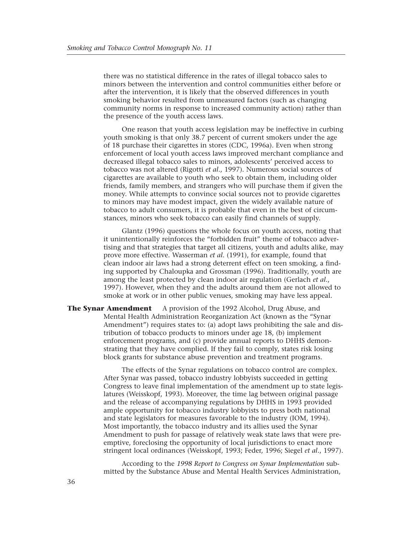there was no statistical difference in the rates of illegal tobacco sales to minors between the intervention and control communities either before or after the intervention, it is likely that the observed differences in youth smoking behavior resulted from unmeasured factors (such as changing community norms in response to increased community action) rather than the presence of the youth access laws.

One reason that youth access legislation may be ineffective in curbing youth smoking is that only 38.7 percent of current smokers under the age of 18 purchase their cigarettes in stores (CDC, 1996a). Even when strong enforcement of local youth access laws improved merchant compliance and decreased illegal tobacco sales to minors, adolescents' perceived access to tobacco was not altered (Rigotti *et al*., 1997). Numerous social sources of cigarettes are available to youth who seek to obtain them, including older friends, family members, and strangers who will purchase them if given the money. While attempts to convince social sources not to provide cigarettes to minors may have modest impact, given the widely available nature of tobacco to adult consumers, it is probable that even in the best of circumstances, minors who seek tobacco can easily find channels of supply.

Glantz (1996) questions the whole focus on youth access, noting that it unintentionally reinforces the "forbidden fruit" theme of tobacco advertising and that strategies that target all citizens, youth and adults alike, may prove more effective. Wasserman *et al*. (1991), for example, found that clean indoor air laws had a strong deterrent effect on teen smoking, a finding supported by Chaloupka and Grossman (1996). Traditionally, youth are among the least protected by clean indoor air regulation (Gerlach *et al*., 1997). However, when they and the adults around them are not allowed to smoke at work or in other public venues, smoking may have less appeal.

**The Synar Amendment** A provision of the 1992 Alcohol, Drug Abuse, and Mental Health Administration Reorganization Act (known as the "Synar Amendment") requires states to: (a) adopt laws prohibiting the sale and distribution of tobacco products to minors under age 18, (b) implement enforcement programs, and (c) provide annual reports to DHHS demonstrating that they have complied. If they fail to comply, states risk losing block grants for substance abuse prevention and treatment programs.

> The effects of the Synar regulations on tobacco control are complex. After Synar was passed, tobacco industry lobbyists succeeded in getting Congress to leave final implementation of the amendment up to state legislatures (Weisskopf, 1993). Moreover, the time lag between original passage and the release of accompanying regulations by DHHS in 1993 provided ample opportunity for tobacco industry lobbyists to press both national and state legislators for measures favorable to the industry (IOM, 1994). Most importantly, the tobacco industry and its allies used the Synar Amendment to push for passage of relatively weak state laws that were preemptive, foreclosing the opportunity of local jurisdictions to enact more stringent local ordinances (Weisskopf, 1993; Feder, 1996; Siegel *et al*., 1997).

According to the *1998 Report to Congress on Synar Implementation* submitted by the Substance Abuse and Mental Health Services Administration,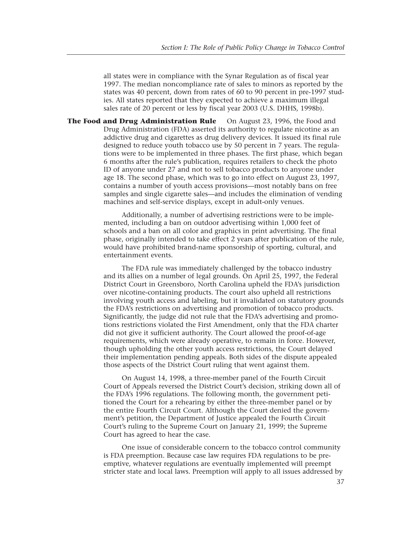all states were in compliance with the Synar Regulation as of fiscal year 1997. The median noncompliance rate of sales to minors as reported by the states was 40 percent, down from rates of 60 to 90 percent in pre-1997 studies. All states reported that they expected to achieve a maximum illegal sales rate of 20 percent or less by fiscal year 2003 (U.S. DHHS, 1998b).

**The Food and Drug Administration Rule** On August 23, 1996, the Food and Drug Administration (FDA) asserted its authority to regulate nicotine as an addictive drug and cigarettes as drug delivery devices. It issued its final rule designed to reduce youth tobacco use by 50 percent in 7 years. The regulations were to be implemented in three phases. The first phase, which began 6 months after the rule's publication, requires retailers to check the photo ID of anyone under 27 and not to sell tobacco products to anyone under age 18. The second phase, which was to go into effect on August 23, 1997, contains a number of youth access provisions—most notably bans on free samples and single cigarette sales—and includes the elimination of vending machines and self-service displays, except in adult-only venues.

> Additionally, a number of advertising restrictions were to be implemented, including a ban on outdoor advertising within 1,000 feet of schools and a ban on all color and graphics in print advertising. The final phase, originally intended to take effect 2 years after publication of the rule, would have prohibited brand-name sponsorship of sporting, cultural, and entertainment events.

> The FDA rule was immediately challenged by the tobacco industry and its allies on a number of legal grounds. On April 25, 1997, the Federal District Court in Greensboro, North Carolina upheld the FDA's jurisdiction over nicotine-containing products. The court also upheld all restrictions involving youth access and labeling, but it invalidated on statutory grounds the FDA's restrictions on advertising and promotion of tobacco products. Significantly, the judge did not rule that the FDA's advertising and promotions restrictions violated the First Amendment, only that the FDA charter did not give it sufficient authority. The Court allowed the proof-of-age requirements, which were already operative, to remain in force. However, though upholding the other youth access restrictions, the Court delayed their implementation pending appeals. Both sides of the dispute appealed those aspects of the District Court ruling that went against them.

On August 14, 1998, a three-member panel of the Fourth Circuit Court of Appeals reversed the District Court's decision, striking down all of the FDA's 1996 regulations. The following month, the government petitioned the Court for a rehearing by either the three-member panel or by the entire Fourth Circuit Court. Although the Court denied the government's petition, the Department of Justice appealed the Fourth Circuit Court's ruling to the Supreme Court on January 21, 1999; the Supreme Court has agreed to hear the case.

One issue of considerable concern to the tobacco control community is FDA preemption. Because case law requires FDA regulations to be preemptive, whatever regulations are eventually implemented will preempt stricter state and local laws. Preemption will apply to all issues addressed by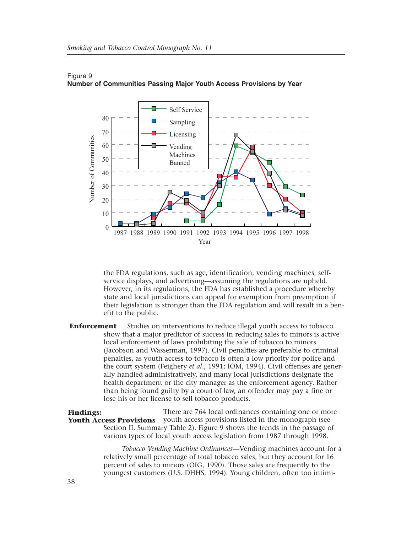

### Figure 9 **Number of Communities Passing Major Youth Access Provisions by Year**

the FDA regulations, such as age, identification, vending machines, selfservice displays, and advertising—assuming the regulations are upheld. However, in its regulations, the FDA has established a procedure whereby state and local jurisdictions can appeal for exemption from preemption if their legislation is stronger than the FDA regulation and will result in a benefit to the public.

**Enforcement** Studies on interventions to reduce illegal youth access to tobacco show that a major predictor of success in reducing sales to minors is active local enforcement of laws prohibiting the sale of tobacco to minors (Jacobson and Wasserman, 1997). Civil penalties are preferable to criminal penalties, as youth access to tobacco is often a low priority for police and the court system (Feighery *et al*., 1991; IOM, 1994). Civil offenses are generally handled administratively, and many local jurisdictions designate the health department or the city manager as the enforcement agency. Rather than being found guilty by a court of law, an offender may pay a fine or lose his or her license to sell tobacco products.

There are 764 local ordinances containing one or more Youth Access Provisions youth access provisions listed in the monograph (see Section II, Summary Table 2). Figure 9 shows the trends in the passage of various types of local youth access legislation from 1987 through 1998. **Findings:** 

> *Tobacco Vending Machine Ordinances*—Vending machines account for a relatively small percentage of total tobacco sales, but they account for 16 percent of sales to minors (OIG, 1990). Those sales are frequently to the youngest customers (U.S. DHHS, 1994). Young children, often too intimi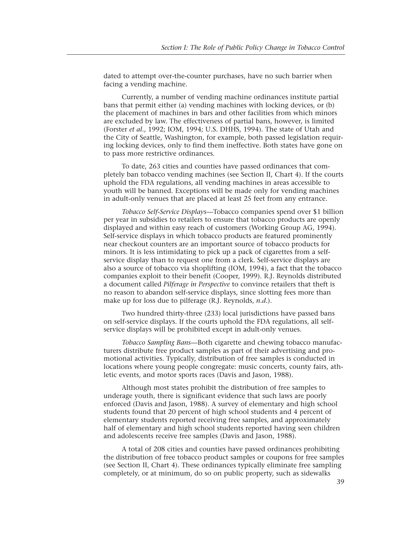dated to attempt over-the-counter purchases, have no such barrier when facing a vending machine.

Currently, a number of vending machine ordinances institute partial bans that permit either (a) vending machines with locking devices, or (b) the placement of machines in bars and other facilities from which minors are excluded by law. The effectiveness of partial bans, however, is limited (Forster *et al*., 1992; IOM, 1994; U.S. DHHS, 1994). The state of Utah and the City of Seattle, Washington, for example, both passed legislation requiring locking devices, only to find them ineffective. Both states have gone on to pass more restrictive ordinances.

To date, 263 cities and counties have passed ordinances that completely ban tobacco vending machines (see Section II, Chart 4). If the courts uphold the FDA regulations, all vending machines in areas accessible to youth will be banned. Exceptions will be made only for vending machines in adult-only venues that are placed at least 25 feet from any entrance.

*Tobacco Self-Service Displays*—Tobacco companies spend over \$1 billion per year in subsidies to retailers to ensure that tobacco products are openly displayed and within easy reach of customers (Working Group AG, 1994). Self-service displays in which tobacco products are featured prominently near checkout counters are an important source of tobacco products for minors. It is less intimidating to pick up a pack of cigarettes from a selfservice display than to request one from a clerk. Self-service displays are also a source of tobacco via shoplifting (IOM, 1994), a fact that the tobacco companies exploit to their benefit (Cooper, 1999). R.J. Reynolds distributed a document called *Pilferage in Perspective* to convince retailers that theft is no reason to abandon self-service displays, since slotting fees more than make up for loss due to pilferage (R.J. Reynolds, *n.d.*).

Two hundred thirty-three (233) local jurisdictions have passed bans on self-service displays. If the courts uphold the FDA regulations, all selfservice displays will be prohibited except in adult-only venues.

*Tobacco Sampling Bans*—Both cigarette and chewing tobacco manufacturers distribute free product samples as part of their advertising and promotional activities. Typically, distribution of free samples is conducted in locations where young people congregate: music concerts, county fairs, athletic events, and motor sports races (Davis and Jason, 1988).

Although most states prohibit the distribution of free samples to underage youth, there is significant evidence that such laws are poorly enforced (Davis and Jason, 1988). A survey of elementary and high school students found that 20 percent of high school students and 4 percent of elementary students reported receiving free samples, and approximately half of elementary and high school students reported having seen children and adolescents receive free samples (Davis and Jason, 1988).

A total of 208 cities and counties have passed ordinances prohibiting the distribution of free tobacco product samples or coupons for free samples (see Section II, Chart 4). These ordinances typically eliminate free sampling completely, or at minimum, do so on public property, such as sidewalks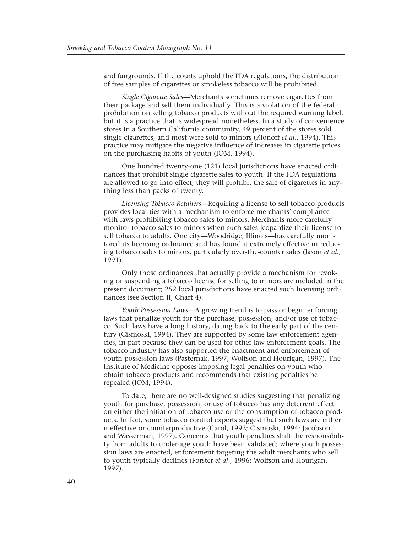and fairgrounds. If the courts uphold the FDA regulations, the distribution of free samples of cigarettes or smokeless tobacco will be prohibited.

*Single Cigarette Sales*—Merchants sometimes remove cigarettes from their package and sell them individually. This is a violation of the federal prohibition on selling tobacco products without the required warning label, but it is a practice that is widespread nonetheless. In a study of convenience stores in a Southern California community, 49 percent of the stores sold single cigarettes, and most were sold to minors (Klonoff *et al*., 1994). This practice may mitigate the negative influence of increases in cigarette prices on the purchasing habits of youth (IOM, 1994).

One hundred twenty-one (121) local jurisdictions have enacted ordinances that prohibit single cigarette sales to youth. If the FDA regulations are allowed to go into effect, they will prohibit the sale of cigarettes in anything less than packs of twenty.

*Licensing Tobacco Retailers*—Requiring a license to sell tobacco products provides localities with a mechanism to enforce merchants' compliance with laws prohibiting tobacco sales to minors. Merchants more carefully monitor tobacco sales to minors when such sales jeopardize their license to sell tobacco to adults. One city—Woodridge, Illinois—has carefully monitored its licensing ordinance and has found it extremely effective in reducing tobacco sales to minors, particularly over-the-counter sales (Jason *et al*., 1991).

Only those ordinances that actually provide a mechanism for revoking or suspending a tobacco license for selling to minors are included in the present document; 252 local jurisdictions have enacted such licensing ordinances (see Section II, Chart 4).

*Youth Possession Laws*—A growing trend is to pass or begin enforcing laws that penalize youth for the purchase, possession, and/or use of tobacco. Such laws have a long history, dating back to the early part of the century (Cismoski, 1994). They are supported by some law enforcement agencies, in part because they can be used for other law enforcement goals. The tobacco industry has also supported the enactment and enforcement of youth possession laws (Pasternak, 1997; Wolfson and Hourigan, 1997). The Institute of Medicine opposes imposing legal penalties on youth who obtain tobacco products and recommends that existing penalties be repealed (IOM, 1994).

To date, there are no well-designed studies suggesting that penalizing youth for purchase, possession, or use of tobacco has any deterrent effect on either the initiation of tobacco use or the consumption of tobacco products. In fact, some tobacco control experts suggest that such laws are either ineffective or counterproductive (Carol, 1992; Cismoski, 1994; Jacobson and Wasserman, 1997). Concerns that youth penalties shift the responsibility from adults to under-age youth have been validated; where youth possession laws are enacted, enforcement targeting the adult merchants who sell to youth typically declines (Forster *et al*., 1996; Wolfson and Hourigan, 1997).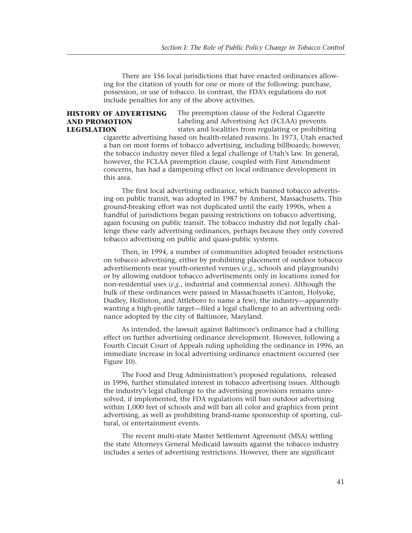There are 156 local jurisdictions that have enacted ordinances allowing for the citation of youth for one or more of the following: purchase, possession, or use of tobacco. In contrast, the FDA's regulations do not include penalties for any of the above activities.

### **HISTORY OF ADVERTISING AND PROMOTION LEGISLATION**

The preemption clause of the Federal Cigarette Labeling and Advertising Act (FCLAA) prevents states and localities from regulating or prohibiting

cigarette advertising based on health-related reasons. In 1973, Utah enacted a ban on most forms of tobacco advertising, including billboards; however, the tobacco industry never filed a legal challenge of Utah's law. In general, however, the FCLAA preemption clause, coupled with First Amendment concerns, has had a dampening effect on local ordinance development in this area.

The first local advertising ordinance, which banned tobacco advertising on public transit, was adopted in 1987 by Amherst, Massachusetts. This ground-breaking effort was not duplicated until the early 1990s, when a handful of jurisdictions began passing restrictions on tobacco advertising, again focusing on public transit. The tobacco industry did not legally challenge these early advertising ordinances, perhaps because they only covered tobacco advertising on public and quasi-public systems.

Then, in 1994, a number of communities adopted broader restrictions on tobacco advertising, either by prohibiting placement of outdoor tobacco advertisements near youth-oriented venues (*e.g.*, schools and playgrounds) or by allowing outdoor tobacco advertisements only in locations zoned for non-residential uses (*e.g.*, industrial and commercial zones). Although the bulk of these ordinances were passed in Massachusetts (Canton, Holyoke, Dudley, Holliston, and Attleboro to name a few), the industry—apparently wanting a high-profile target—filed a legal challenge to an advertising ordinance adopted by the city of Baltimore, Maryland.

As intended, the lawsuit against Baltimore's ordinance had a chilling effect on further advertising ordinance development. However, following a Fourth Circuit Court of Appeals ruling upholding the ordinance in 1996, an immediate increase in local advertising ordinance enactment occurred (see Figure 10).

The Food and Drug Administration's proposed regulations, released in 1996, further stimulated interest in tobacco advertising issues. Although the industry's legal challenge to the advertising provisions remains unresolved, if implemented, the FDA regulations will ban outdoor advertising within 1,000 feet of schools and will ban all color and graphics from print advertising, as well as prohibiting brand-name sponsorship of sporting, cultural, or entertainment events.

The recent multi-state Master Settlement Agreement (MSA) settling the state Attorneys General Medicaid lawsuits against the tobacco industry includes a series of advertising restrictions. However, there are significant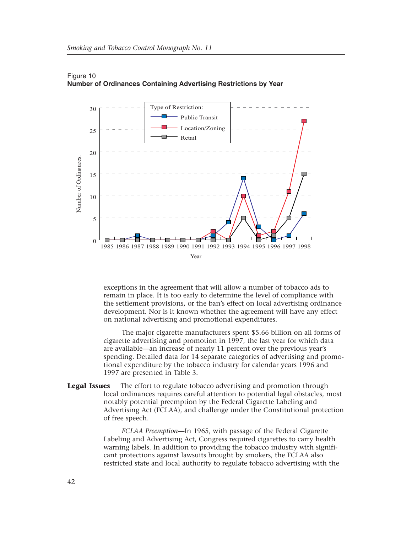

### Figure 10 **Number of Ordinances Containing Advertising Restrictions by Year**

exceptions in the agreement that will allow a number of tobacco ads to remain in place. It is too early to determine the level of compliance with the settlement provisions, or the ban's effect on local advertising ordinance development. Nor is it known whether the agreement will have any effect on national advertising and promotional expenditures.

The major cigarette manufacturers spent \$5.66 billion on all forms of cigarette advertising and promotion in 1997, the last year for which data are available—an increase of nearly 11 percent over the previous year's spending. Detailed data for 14 separate categories of advertising and promotional expenditure by the tobacco industry for calendar years 1996 and 1997 are presented in Table 3.

**Legal Issues** The effort to regulate tobacco advertising and promotion through local ordinances requires careful attention to potential legal obstacles, most notably potential preemption by the Federal Cigarette Labeling and Advertising Act (FCLAA), and challenge under the Constitutional protection of free speech.

> *FCLAA Preemption*—In 1965, with passage of the Federal Cigarette Labeling and Advertising Act, Congress required cigarettes to carry health warning labels. In addition to providing the tobacco industry with significant protections against lawsuits brought by smokers, the FCLAA also restricted state and local authority to regulate tobacco advertising with the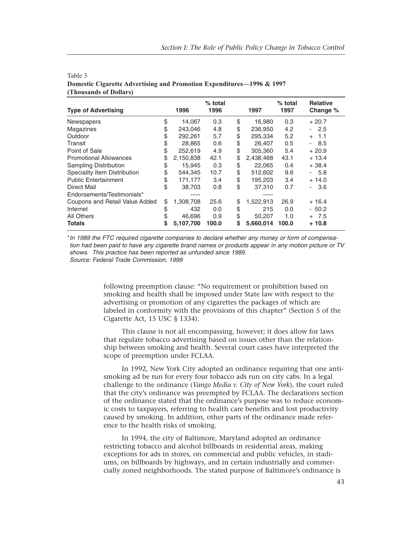| <b>Type of Advertising</b>     |    | 1996      | $%$ total<br>1996 | 1997            | $%$ total<br>1997 | <b>Relative</b><br>Change % |
|--------------------------------|----|-----------|-------------------|-----------------|-------------------|-----------------------------|
| <b>Newspapers</b>              | \$ | 14,067    | 0.3               | \$<br>16,980    | 0.3               | $+20.7$                     |
| <b>Magazines</b>               | \$ | 243.046   | 4.8               | \$<br>236.950   | 4.2               | $-2.5$                      |
| Outdoor                        | \$ | 292,261   | 5.7               | \$<br>295,334   | 5.2               | 1.1<br>$+$                  |
| Transit                        | \$ | 28,865    | 0.6               | \$<br>26.407    | 0.5               | - 8.5                       |
| Point of Sale                  | \$ | 252.619   | 4.9               | \$<br>305.360   | 5.4               | $+20.9$                     |
| <b>Promotional Allowances</b>  | \$ | 2,150,838 | 42.1              | \$<br>2,438,468 | 43.1              | $+13.4$                     |
| <b>Sampling Distribution</b>   |    | 15,945    | 0.3               | \$<br>22,065    | 0.4               | $+38.4$                     |
| Speciality Item Distribution   |    | 544,345   | 10.7              | \$<br>512,602   | 9.6               | - 5.8                       |
| <b>Public Entertainment</b>    | \$ | 171,177   | 3.4               | \$<br>195,203   | 3.4               | $+14.0$                     |
| Direct Mail                    |    | 38,703    | 0.8               | \$<br>37.310    | 0.7               | 3.6<br>$\blacksquare$       |
| Endorsements/Testimonials*     |    |           |                   |                 |                   |                             |
| Coupons and Retail Value Added | \$ | 1,308,708 | 25.6              | \$<br>1,522,913 | 26.9              | $+16.4$                     |
| Internet                       | \$ | 432       | 0.0               | \$<br>215       | 0.0               | - 50.2                      |
| \$<br>All Others               |    | 46,696    | 0.9               | \$<br>50,207    | 1.0               | $+ 7.5$                     |
| <b>Totals</b>                  | S  | 5,107,700 | 100.0             | \$<br>5,660,014 | 100.0             | $+10.8$                     |

Table 3 **Domestic Cigarette Advertising and Promotion Expenditures—1996 & 1997 (Thousands of Dollars)**

\**In 1989 the FTC required cigarette companies to declare whether any money or form of compensation had been paid to have any cigarette brand names or products appear in any motion picture or TV shows. This practice has been reported as unfunded since 1989. Source: Federal Trade Commission, 1999*

> following preemption clause: "No requirement or prohibition based on smoking and health shall be imposed under State law with respect to the advertising or promotion of any cigarettes the packages of which are labeled in conformity with the provisions of this chapter" (Section 5 of the Cigarette Act, 15 USC § 1334).

> This clause is not all encompassing, however; it does allow for laws that regulate tobacco advertising based on issues other than the relationship between smoking and health. Several court cases have interpreted the scope of preemption under FCLAA.

In 1992, New York City adopted an ordinance requiring that one antismoking ad be run for every four tobacco ads run on city cabs. In a legal challenge to the ordinance (*Vango Media v. City of New York*), the court ruled that the city's ordinance was preempted by FCLAA. The declarations section of the ordinance stated that the ordinance's purpose was to reduce economic costs to taxpayers, referring to health care benefits and lost productivity caused by smoking. In addition, other parts of the ordinance made reference to the health risks of smoking.

In 1994, the city of Baltimore, Maryland adopted an ordinance restricting tobacco and alcohol billboards in residential areas, making exceptions for ads in stores, on commercial and public vehicles, in stadiums, on billboards by highways, and in certain industrially and commercially zoned neighborhoods. The stated purpose of Baltimore's ordinance is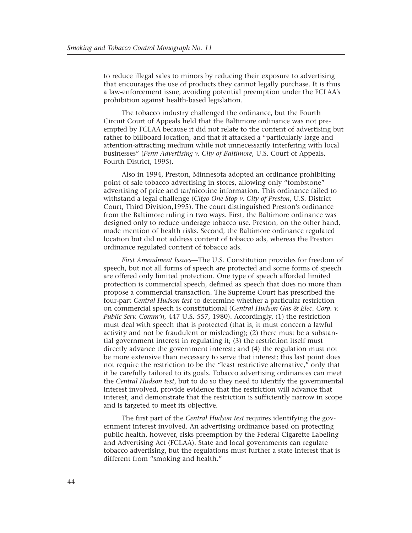to reduce illegal sales to minors by reducing their exposure to advertising that encourages the use of products they cannot legally purchase. It is thus a law-enforcement issue, avoiding potential preemption under the FCLAA's prohibition against health-based legislation.

The tobacco industry challenged the ordinance, but the Fourth Circuit Court of Appeals held that the Baltimore ordinance was not preempted by FCLAA because it did not relate to the content of advertising but rather to billboard location, and that it attacked a "particularly large and attention-attracting medium while not unnecessarily interfering with local businesses" (*Penn Advertising v. City of Baltimore*, U.S. Court of Appeals, Fourth District, 1995).

Also in 1994, Preston, Minnesota adopted an ordinance prohibiting point of sale tobacco advertising in stores, allowing only "tombstone" advertising of price and tar/nicotine information. This ordinance failed to withstand a legal challenge (*Citgo One Stop v. City of Preston*, U.S. District Court, Third Division,1995). The court distinguished Preston's ordinance from the Baltimore ruling in two ways. First, the Baltimore ordinance was designed only to reduce underage tobacco use. Preston, on the other hand, made mention of health risks. Second, the Baltimore ordinance regulated location but did not address content of tobacco ads, whereas the Preston ordinance regulated content of tobacco ads.

*First Amendment Issues*—The U.S. Constitution provides for freedom of speech, but not all forms of speech are protected and some forms of speech are offered only limited protection. One type of speech afforded limited protection is commercial speech, defined as speech that does no more than propose a commercial transaction. The Supreme Court has prescribed the four-part *Central Hudson test* to determine whether a particular restriction on commercial speech is constitutional (*Central Hudson Gas & Elec. Corp. v. Public Serv. Comm'n*, 447 U.S. 557, 1980). Accordingly, (1) the restriction must deal with speech that is protected (that is, it must concern a lawful activity and not be fraudulent or misleading); (2) there must be a substantial government interest in regulating it; (3) the restriction itself must directly advance the government interest; and (4) the regulation must not be more extensive than necessary to serve that interest; this last point does not require the restriction to be the "least restrictive alternative," only that it be carefully tailored to its goals. Tobacco advertising ordinances can meet the *Central Hudson test*, but to do so they need to identify the governmental interest involved, provide evidence that the restriction will advance that interest, and demonstrate that the restriction is sufficiently narrow in scope and is targeted to meet its objective.

The first part of the *Central Hudson test* requires identifying the government interest involved. An advertising ordinance based on protecting public health, however, risks preemption by the Federal Cigarette Labeling and Advertising Act (FCLAA). State and local governments can regulate tobacco advertising, but the regulations must further a state interest that is different from "smoking and health."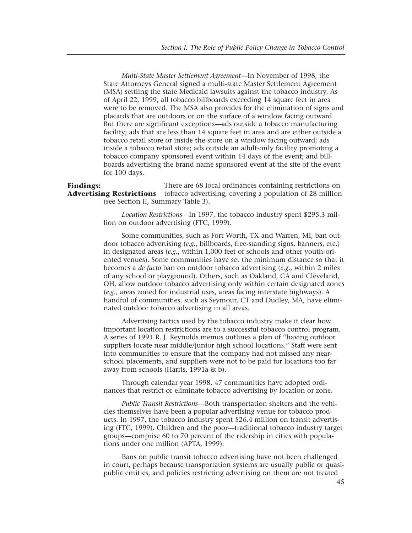*Multi-State Master Settlement Agreement*—In November of 1998, the State Attorneys General signed a multi-state Master Settlement Agreement (MSA) settling the state Medicaid lawsuits against the tobacco industry. As of April 22, 1999, all tobacco billboards exceeding 14 square feet in area were to be removed. The MSA also provides for the elimination of signs and placards that are outdoors or on the surface of a window facing outward. But there are significant exceptions—ads outside a tobacco manufacturing facility; ads that are less than 14 square feet in area and are either outside a tobacco retail store or inside the store on a window facing outward; ads inside a tobacco retail store; ads outside an adult-only facility promoting a tobacco company sponsored event within 14 days of the event; and billboards advertising the brand name sponsored event at the site of the event for 100 days.

There are 68 local ordinances containing restrictions on **Advertising Restrictions** tobacco advertising, covering a population of 28 million (see Section II, Summary Table 3). **Findings:** 

> *Location Restrictions*—In 1997, the tobacco industry spent \$295.3 million on outdoor advertising (FTC, 1999).

Some communities, such as Fort Worth, TX and Warren, MI, ban outdoor tobacco advertising (*e.g.*, billboards, free-standing signs, banners, etc.) in designated areas (*e.g.*, within 1,000 feet of schools and other youth-oriented venues). Some communities have set the minimum distance so that it becomes a *de facto* ban on outdoor tobacco advertising (*e.g.*, within 2 miles of any school or playground). Others, such as Oakland, CA and Cleveland, OH, allow outdoor tobacco advertising only within certain designated zones (*e.g.*, areas zoned for industrial uses, areas facing interstate highways). A handful of communities, such as Seymour, CT and Dudley, MA, have eliminated outdoor tobacco advertising in all areas.

Advertising tactics used by the tobacco industry make it clear how important location restrictions are to a successful tobacco control program. A series of 1991 R. J. Reynolds memos outlines a plan of "having outdoor suppliers locate near middle/junior high school locations." Staff were sent into communities to ensure that the company had not missed any nearschool placements, and suppliers were not to be paid for locations too far away from schools (Harris, 1991a & b).

Through calendar year 1998, 47 communities have adopted ordinances that restrict or eliminate tobacco advertising by location or zone.

*Public Transit Restrictions*—Both transportation shelters and the vehicles themselves have been a popular advertising venue for tobacco products. In 1997, the tobacco industry spent \$26.4 million on transit advertising (FTC, 1999). Children and the poor—traditional tobacco industry target groups—comprise 60 to 70 percent of the ridership in cities with populations under one million (APTA, 1999).

Bans on public transit tobacco advertising have not been challenged in court, perhaps because transportation systems are usually public or quasipublic entities, and policies restricting advertising on them are not treated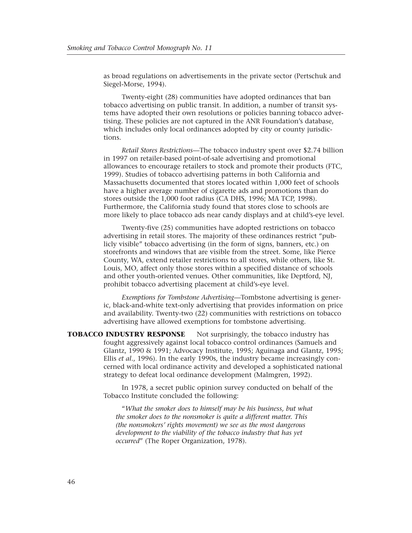as broad regulations on advertisements in the private sector (Pertschuk and Siegel-Morse, 1994).

Twenty-eight (28) communities have adopted ordinances that ban tobacco advertising on public transit. In addition, a number of transit systems have adopted their own resolutions or policies banning tobacco advertising. These policies are not captured in the ANR Foundation's database, which includes only local ordinances adopted by city or county jurisdictions.

*Retail Stores Restrictions*—The tobacco industry spent over \$2.74 billion in 1997 on retailer-based point-of-sale advertising and promotional allowances to encourage retailers to stock and promote their products (FTC, 1999). Studies of tobacco advertising patterns in both California and Massachusetts documented that stores located within 1,000 feet of schools have a higher average number of cigarette ads and promotions than do stores outside the 1,000 foot radius (CA DHS, 1996; MA TCP, 1998). Furthermore, the California study found that stores close to schools are more likely to place tobacco ads near candy displays and at child's-eye level.

Twenty-five (25) communities have adopted restrictions on tobacco advertising in retail stores. The majority of these ordinances restrict "publicly visible" tobacco advertising (in the form of signs, banners, etc.) on storefronts and windows that are visible from the street. Some, like Pierce County, WA, extend retailer restrictions to all stores, while others, like St. Louis, MO, affect only those stores within a specified distance of schools and other youth-oriented venues. Other communities, like Deptford, NJ, prohibit tobacco advertising placement at child's-eye level.

*Exemptions for Tombstone Advertising*—Tombstone advertising is generic, black-and-white text-only advertising that provides information on price and availability. Twenty-two (22) communities with restrictions on tobacco advertising have allowed exemptions for tombstone advertising.

**TOBACCO INDUSTRY RESPONSE** Not surprisingly, the tobacco industry has fought aggressively against local tobacco control ordinances (Samuels and Glantz, 1990 & 1991; Advocacy Institute, 1995; Aguinaga and Glantz, 1995; Ellis *et al*., 1996). In the early 1990s, the industry became increasingly concerned with local ordinance activity and developed a sophisticated national strategy to defeat local ordinance development (Malmgren, 1992).

> In 1978, a secret public opinion survey conducted on behalf of the Tobacco Institute concluded the following:

"*What the smoker does to himself may be his business, but what the smoker does to the nonsmoker is quite a different matter. This (the nonsmokers' rights movement) we see as the most dangerous development to the viability of the tobacco industry that has yet occurred*" (The Roper Organization, 1978).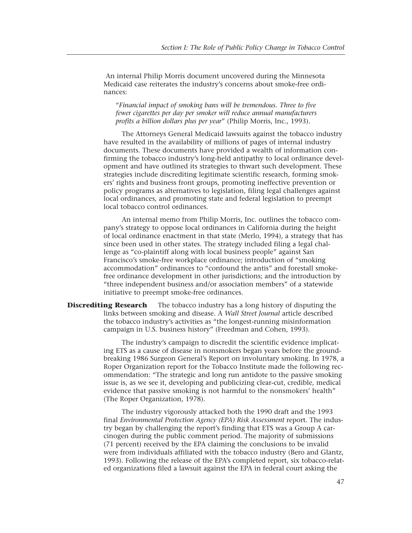An internal Philip Morris document uncovered during the Minnesota Medicaid case reiterates the industry's concerns about smoke-free ordinances:

"*Financial impact of smoking bans will be tremendous. Three to five fewer cigarettes per day per smoker will reduce annual manufacturers profits a billion dollars plus per year*" (Philip Morris, Inc., 1993).

The Attorneys General Medicaid lawsuits against the tobacco industry have resulted in the availability of millions of pages of internal industry documents. These documents have provided a wealth of information confirming the tobacco industry's long-held antipathy to local ordinance development and have outlined its strategies to thwart such development. These strategies include discrediting legitimate scientific research, forming smokers' rights and business front groups, promoting ineffective prevention or policy programs as alternatives to legislation, filing legal challenges against local ordinances, and promoting state and federal legislation to preempt local tobacco control ordinances.

An internal memo from Philip Morris, Inc. outlines the tobacco company's strategy to oppose local ordinances in California during the height of local ordinance enactment in that state (Merlo, 1994), a strategy that has since been used in other states. The strategy included filing a legal challenge as "co-plaintiff along with local business people" against San Francisco's smoke-free workplace ordinance; introduction of "smoking accommodation" ordinances to "confound the antis" and forestall smokefree ordinance development in other jurisdictions; and the introduction by "three independent business and/or association members" of a statewide initiative to preempt smoke-free ordinances.

**Discrediting Research** The tobacco industry has a long history of disputing the links between smoking and disease. A *Wall Street Journal* article described the tobacco industry's activities as "the longest-running misinformation campaign in U.S. business history" (Freedman and Cohen, 1993).

> The industry's campaign to discredit the scientific evidence implicating ETS as a cause of disease in nonsmokers began years before the groundbreaking 1986 Surgeon General's Report on involuntary smoking. In 1978, a Roper Organization report for the Tobacco Institute made the following recommendation: "The strategic and long run antidote to the passive smoking issue is, as we see it, developing and publicizing clear-cut, credible, medical evidence that passive smoking is not harmful to the nonsmokers' health" (The Roper Organization, 1978).

> The industry vigorously attacked both the 1990 draft and the 1993 final *Environmental Protection Agency (EPA) Risk Assessment* report. The industry began by challenging the report's finding that ETS was a Group A carcinogen during the public comment period. The majority of submissions (71 percent) received by the EPA claiming the conclusions to be invalid were from individuals affiliated with the tobacco industry (Bero and Glantz, 1993). Following the release of the EPA's completed report, six tobacco-related organizations filed a lawsuit against the EPA in federal court asking the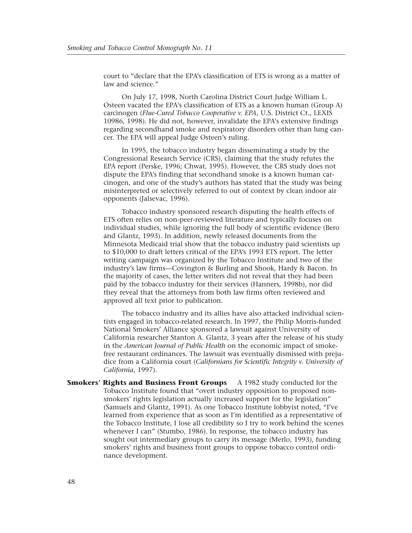court to "declare that the EPA's classification of ETS is wrong as a matter of law and science."

On July 17, 1998, North Carolina District Court Judge William L. Osteen vacated the EPA's classification of ETS as a known human (Group A) carcinogen (*Flue-Cured Tobacco Cooperative v. EPA*, U.S. District Ct., LEXIS 10986, 1998). He did not, however, invalidate the EPA's extensive findings regarding secondhand smoke and respiratory disorders other than lung cancer. The EPA will appeal Judge Osteen's ruling.

In 1995, the tobacco industry began disseminating a study by the Congressional Research Service (CRS), claiming that the study refutes the EPA report (Perske, 1996; Chwat, 1995). However, the CRS study does not dispute the EPA's finding that secondhand smoke is a known human carcinogen, and one of the study's authors has stated that the study was being misinterpreted or selectively referred to out of context by clean indoor air opponents (Jalsevac, 1996).

Tobacco industry sponsored research disputing the health effects of ETS often relies on non-peer-reviewed literature and typically focuses on individual studies, while ignoring the full body of scientific evidence (Bero and Glantz, 1993). In addition, newly released documents from the Minnesota Medicaid trial show that the tobacco industry paid scientists up to \$10,000 to draft letters critical of the EPA's 1993 ETS report. The letter writing campaign was organized by the Tobacco Institute and two of the industry's law firms—Covington & Burling and Shook, Hardy & Bacon. In the majority of cases, the letter writers did not reveal that they had been paid by the tobacco industry for their services (Hanners, 1998b), nor did they reveal that the attorneys from both law firms often reviewed and approved all text prior to publication.

The tobacco industry and its allies have also attacked individual scientists engaged in tobacco-related research. In 1997, the Philip Morris-funded National Smokers' Alliance sponsored a lawsuit against University of California researcher Stanton A. Glantz, 3 years after the release of his study in the *American Journal of Public Health* on the economic impact of smokefree restaurant ordinances. The lawsuit was eventually dismissed with prejudice from a California court (*Californians for Scientific Integrity v. University of California*, 1997).

**Smokers' Rights and Business Front Groups** A 1982 study conducted for the Tobacco Institute found that "overt industry opposition to proposed nonsmokers' rights legislation actually increased support for the legislation" (Samuels and Glantz, 1991). As one Tobacco Institute lobbyist noted, "I've learned from experience that as soon as I'm identified as a representative of the Tobacco Institute, I lose all credibility so I try to work behind the scenes whenever I can" (Stumbo, 1986). In response, the tobacco industry has sought out intermediary groups to carry its message (Merlo, 1993), funding smokers' rights and business front groups to oppose tobacco control ordinance development.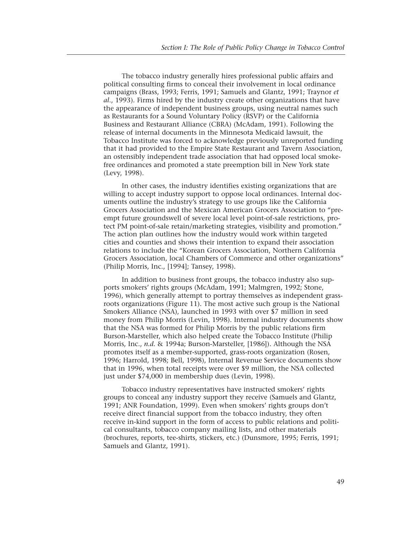The tobacco industry generally hires professional public affairs and political consulting firms to conceal their involvement in local ordinance campaigns (Brass, 1993; Ferris, 1991; Samuels and Glantz, 1991; Traynor *et al*., 1993). Firms hired by the industry create other organizations that have the appearance of independent business groups, using neutral names such as Restaurants for a Sound Voluntary Policy (RSVP) or the California Business and Restaurant Alliance (CBRA) (McAdam, 1991). Following the release of internal documents in the Minnesota Medicaid lawsuit, the Tobacco Institute was forced to acknowledge previously unreported funding that it had provided to the Empire State Restaurant and Tavern Association, an ostensibly independent trade association that had opposed local smokefree ordinances and promoted a state preemption bill in New York state (Levy, 1998).

In other cases, the industry identifies existing organizations that are willing to accept industry support to oppose local ordinances. Internal documents outline the industry's strategy to use groups like the California Grocers Association and the Mexican American Grocers Association to "preempt future groundswell of severe local level point-of-sale restrictions, protect PM point-of-sale retain/marketing strategies, visibility and promotion." The action plan outlines how the industry would work within targeted cities and counties and shows their intention to expand their association relations to include the "Korean Grocers Association, Northern California Grocers Association, local Chambers of Commerce and other organizations" (Philip Morris, Inc., [1994]; Tansey, 1998).

In addition to business front groups, the tobacco industry also supports smokers' rights groups (McAdam, 1991; Malmgren, 1992; Stone, 1996), which generally attempt to portray themselves as independent grassroots organizations (Figure 11). The most active such group is the National Smokers Alliance (NSA), launched in 1993 with over \$7 million in seed money from Philip Morris (Levin, 1998). Internal industry documents show that the NSA was formed for Philip Morris by the public relations firm Burson-Marsteller, which also helped create the Tobacco Institute (Philip Morris, Inc., *n.d.* & 1994a; Burson-Marsteller, [1986]). Although the NSA promotes itself as a member-supported, grass-roots organization (Rosen, 1996; Harrold, 1998; Bell, 1998), Internal Revenue Service documents show that in 1996, when total receipts were over \$9 million, the NSA collected just under \$74,000 in membership dues (Levin, 1998).

Tobacco industry representatives have instructed smokers' rights groups to conceal any industry support they receive (Samuels and Glantz, 1991; ANR Foundation, 1999). Even when smokers' rights groups don't receive direct financial support from the tobacco industry, they often receive in-kind support in the form of access to public relations and political consultants, tobacco company mailing lists, and other materials (brochures, reports, tee-shirts, stickers, etc.) (Dunsmore, 1995; Ferris, 1991; Samuels and Glantz, 1991).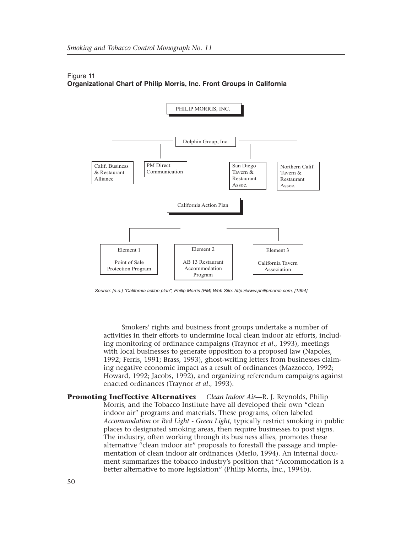

### Figure 11 **Organizational Chart of Philip Morris, Inc. Front Groups in California**

*Source: [n.a.] "California action plan", Philip Morris (PM) Web Site: http://www.philipmorris.com, [1994].*

Smokers' rights and business front groups undertake a number of activities in their efforts to undermine local clean indoor air efforts, including monitoring of ordinance campaigns (Traynor *et al*., 1993), meetings with local businesses to generate opposition to a proposed law (Napoles, 1992; Ferris, 1991; Brass, 1993), ghost-writing letters from businesses claiming negative economic impact as a result of ordinances (Mazzocco, 1992; Howard, 1992; Jacobs, 1992), and organizing referendum campaigns against enacted ordinances (Traynor *et al*., 1993).

**Promoting Ineffective Alternatives** *Clean Indoor Air*—R. J. Reynolds, Philip Morris, and the Tobacco Institute have all developed their own "clean indoor air" programs and materials. These programs, often labeled *Accommodation* or *Red Light - Green Light*, typically restrict smoking in public places to designated smoking areas, then require businesses to post signs. The industry, often working through its business allies, promotes these alternative "clean indoor air" proposals to forestall the passage and implementation of clean indoor air ordinances (Merlo, 1994). An internal document summarizes the tobacco industry's position that "Accommodation is a better alternative to more legislation" (Philip Morris, Inc., 1994b).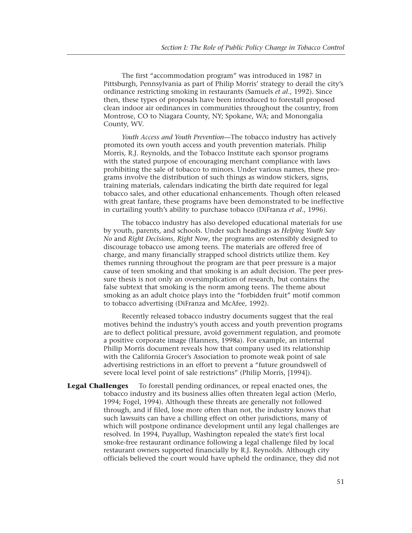The first "accommodation program" was introduced in 1987 in Pittsburgh, Pennsylvania as part of Philip Morris' strategy to derail the city's ordinance restricting smoking in restaurants (Samuels *et al*., 1992). Since then, these types of proposals have been introduced to forestall proposed clean indoor air ordinances in communities throughout the country, from Montrose, CO to Niagara County, NY; Spokane, WA; and Monongalia County, WV.

*Youth Access and Youth Prevention*—The tobacco industry has actively promoted its own youth access and youth prevention materials. Philip Morris, R.J. Reynolds, and the Tobacco Institute each sponsor programs with the stated purpose of encouraging merchant compliance with laws prohibiting the sale of tobacco to minors. Under various names, these programs involve the distribution of such things as window stickers, signs, training materials, calendars indicating the birth date required for legal tobacco sales, and other educational enhancements. Though often released with great fanfare, these programs have been demonstrated to be ineffective in curtailing youth's ability to purchase tobacco (DiFranza *et al*., 1996).

The tobacco industry has also developed educational materials for use by youth, parents, and schools. Under such headings as *Helping Youth Say No* and *Right Decisions, Right Now*, the programs are ostensibly designed to discourage tobacco use among teens. The materials are offered free of charge, and many financially strapped school districts utilize them. Key themes running throughout the program are that peer pressure is a major cause of teen smoking and that smoking is an adult decision. The peer pressure thesis is not only an oversimplication of research, but contains the false subtext that smoking is the norm among teens. The theme about smoking as an adult choice plays into the "forbidden fruit" motif common to tobacco advertising (DiFranza and McAfee, 1992).

Recently released tobacco industry documents suggest that the real motives behind the industry's youth access and youth prevention programs are to deflect political pressure, avoid government regulation, and promote a positive corporate image (Hanners, 1998a). For example, an internal Philip Morris document reveals how that company used its relationship with the California Grocer's Association to promote weak point of sale advertising restrictions in an effort to prevent a "future groundswell of severe local level point of sale restrictions" (Philip Morris, [1994]).

**Legal Challenges** To forestall pending ordinances, or repeal enacted ones, the tobacco industry and its business allies often threaten legal action (Merlo, 1994; Fogel, 1994). Although these threats are generally not followed through, and if filed, lose more often than not, the industry knows that such lawsuits can have a chilling effect on other jurisdictions, many of which will postpone ordinance development until any legal challenges are resolved. In 1994, Puyallup, Washington repealed the state's first local smoke-free restaurant ordinance following a legal challenge filed by local restaurant owners supported financially by R.J. Reynolds. Although city officials believed the court would have upheld the ordinance, they did not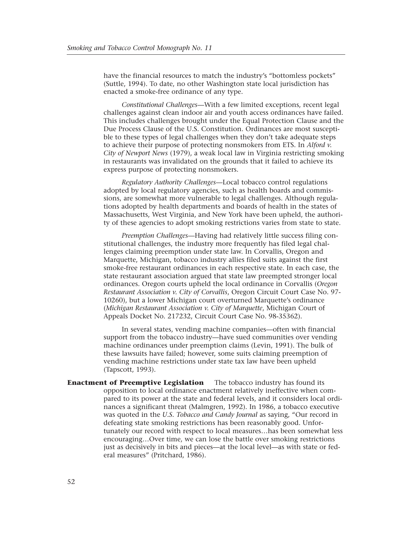have the financial resources to match the industry's "bottomless pockets" (Suttle, 1994). To date, no other Washington state local jurisdiction has enacted a smoke-free ordinance of any type.

*Constitutional Challenges*—With a few limited exceptions, recent legal challenges against clean indoor air and youth access ordinances have failed. This includes challenges brought under the Equal Protection Clause and the Due Process Clause of the U.S. Constitution. Ordinances are most susceptible to these types of legal challenges when they don't take adequate steps to achieve their purpose of protecting nonsmokers from ETS. In *Alford v. City of Newport News* (1979), a weak local law in Virginia restricting smoking in restaurants was invalidated on the grounds that it failed to achieve its express purpose of protecting nonsmokers.

*Regulatory Authority Challenges*—Local tobacco control regulations adopted by local regulatory agencies, such as health boards and commissions, are somewhat more vulnerable to legal challenges. Although regulations adopted by health departments and boards of health in the states of Massachusetts, West Virginia, and New York have been upheld, the authority of these agencies to adopt smoking restrictions varies from state to state.

*Preemption Challenges*—Having had relatively little success filing constitutional challenges, the industry more frequently has filed legal challenges claiming preemption under state law. In Corvallis, Oregon and Marquette, Michigan, tobacco industry allies filed suits against the first smoke-free restaurant ordinances in each respective state. In each case, the state restaurant association argued that state law preempted stronger local ordinances. Oregon courts upheld the local ordinance in Corvallis (*Oregon Restaurant Association v. City of Corvallis*, Oregon Circuit Court Case No. 97- 10260), but a lower Michigan court overturned Marquette's ordinance (*Michigan Restaurant Association v. City of Marquette*, Michigan Court of Appeals Docket No. 217232, Circuit Court Case No. 98-35362).

In several states, vending machine companies—often with financial support from the tobacco industry—have sued communities over vending machine ordinances under preemption claims (Levin, 1991). The bulk of these lawsuits have failed; however, some suits claiming preemption of vending machine restrictions under state tax law have been upheld (Tapscott, 1993).

**Enactment of Preemptive Legislation** The tobacco industry has found its opposition to local ordinance enactment relatively ineffective when compared to its power at the state and federal levels, and it considers local ordinances a significant threat (Malmgren, 1992). In 1986, a tobacco executive was quoted in the *U.S. Tobacco and Candy Journal* as saying, "Our record in defeating state smoking restrictions has been reasonably good. Unfortunately our record with respect to local measures…has been somewhat less encouraging…Over time, we can lose the battle over smoking restrictions just as decisively in bits and pieces—at the local level—as with state or federal measures" (Pritchard, 1986).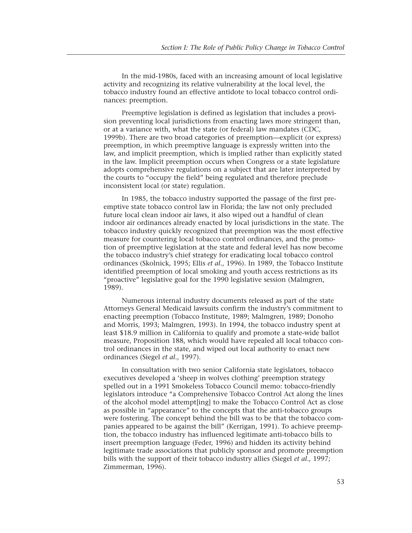In the mid-1980s, faced with an increasing amount of local legislative activity and recognizing its relative vulnerability at the local level, the tobacco industry found an effective antidote to local tobacco control ordinances: preemption.

Preemptive legislation is defined as legislation that includes a provision preventing local jurisdictions from enacting laws more stringent than, or at a variance with, what the state (or federal) law mandates (CDC, 1999b). There are two broad categories of preemption—explicit (or express) preemption, in which preemptive language is expressly written into the law, and implicit preemption, which is implied rather than explicitly stated in the law. Implicit preemption occurs when Congress or a state legislature adopts comprehensive regulations on a subject that are later interpreted by the courts to "occupy the field" being regulated and therefore preclude inconsistent local (or state) regulation.

In 1985, the tobacco industry supported the passage of the first preemptive state tobacco control law in Florida; the law not only precluded future local clean indoor air laws, it also wiped out a handful of clean indoor air ordinances already enacted by local jurisdictions in the state. The tobacco industry quickly recognized that preemption was the most effective measure for countering local tobacco control ordinances, and the promotion of preemptive legislation at the state and federal level has now become the tobacco industry's chief strategy for eradicating local tobacco control ordinances (Skolnick, 1995; Ellis *et al*., 1996). In 1989, the Tobacco Institute identified preemption of local smoking and youth access restrictions as its "proactive" legislative goal for the 1990 legislative session (Malmgren, 1989).

Numerous internal industry documents released as part of the state Attorneys General Medicaid lawsuits confirm the industry's commitment to enacting preemption (Tobacco Institute, 1989; Malmgren, 1989; Donoho and Morris, 1993; Malmgren, 1993). In 1994, the tobacco industry spent at least \$18.9 million in California to qualify and promote a state-wide ballot measure, Proposition 188, which would have repealed all local tobacco control ordinances in the state, and wiped out local authority to enact new ordinances (Siegel *et al*., 1997).

In consultation with two senior California state legislators, tobacco executives developed a 'sheep in wolves clothing' preemption strategy spelled out in a 1991 Smokeless Tobacco Council memo: tobacco-friendly legislators introduce "a Comprehensive Tobacco Control Act along the lines of the alcohol model attempt[ing] to make the Tobacco Control Act as close as possible in "appearance" to the concepts that the anti-tobacco groups were fostering. The concept behind the bill was to be that the tobacco companies appeared to be against the bill" (Kerrigan, 1991). To achieve preemption, the tobacco industry has influenced legitimate anti-tobacco bills to insert preemption language (Feder, 1996) and hidden its activity behind legitimate trade associations that publicly sponsor and promote preemption bills with the support of their tobacco industry allies (Siegel *et al*., 1997; Zimmerman, 1996).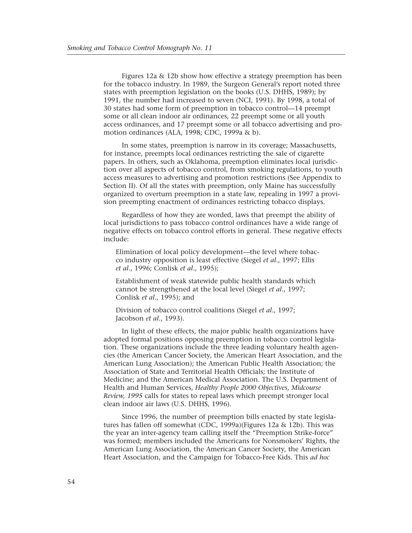Figures 12a & 12b show how effective a strategy preemption has been for the tobacco industry. In 1989, the Surgeon General's report noted three states with preemption legislation on the books (U.S. DHHS, 1989); by 1991, the number had increased to seven (NCI, 1991). By 1998, a total of 30 states had some form of preemption in tobacco control—14 preempt some or all clean indoor air ordinances, 22 preempt some or all youth access ordinances, and 17 preempt some or all tobacco advertising and promotion ordinances (ALA, 1998; CDC, 1999a & b).

In some states, preemption is narrow in its coverage; Massachusetts, for instance, preempts local ordinances restricting the sale of cigarette papers. In others, such as Oklahoma, preemption eliminates local jurisdiction over all aspects of tobacco control, from smoking regulations, to youth access measures to advertising and promotion restrictions (See Appendix to Section II). Of all the states with preemption, only Maine has successfully organized to overturn preemption in a state law, repealing in 1997 a provision preempting enactment of ordinances restricting tobacco displays.

Regardless of how they are worded, laws that preempt the ability of local jurisdictions to pass tobacco control ordinances have a wide range of negative effects on tobacco control efforts in general. These negative effects include:

Elimination of local policy development—the level where tobacco industry opposition is least effective (Siegel *et al*., 1997; Ellis *et al*., 1996; Conlisk *et al*., 1995);

Establishment of weak statewide public health standards which cannot be strengthened at the local level (Siegel *et al*., 1997; Conlisk *et al*., 1995); and

Division of tobacco control coalitions (Siegel *et al*., 1997; Jacobson *et al*., 1993).

In light of these effects, the major public health organizations have adopted formal positions opposing preemption in tobacco control legislation. These organizations include the three leading voluntary health agencies (the American Cancer Society, the American Heart Association, and the American Lung Association); the American Public Health Association; the Association of State and Territorial Health Officials; the Institute of Medicine; and the American Medical Association. The U.S. Department of Health and Human Services, *Healthy People 2000 Objectives, Midcourse Review, 1995* calls for states to repeal laws which preempt stronger local clean indoor air laws (U.S. DHHS, 1996).

Since 1996, the number of preemption bills enacted by state legislatures has fallen off somewhat (CDC, 1999a)(Figures 12a & 12b). This was the year an inter-agency team calling itself the "Preemption Strike-force" was formed; members included the Americans for Nonsmokers' Rights, the American Lung Association, the American Cancer Society, the American Heart Association, and the Campaign for Tobacco-Free Kids. This *ad hoc*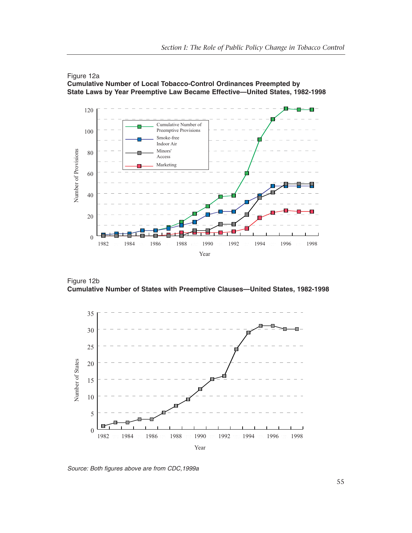



Figure 12b **Cumulative Number of States with Preemptive Clauses—United States, 1982-1998**



*Source: Both figures above are from CDC,1999a*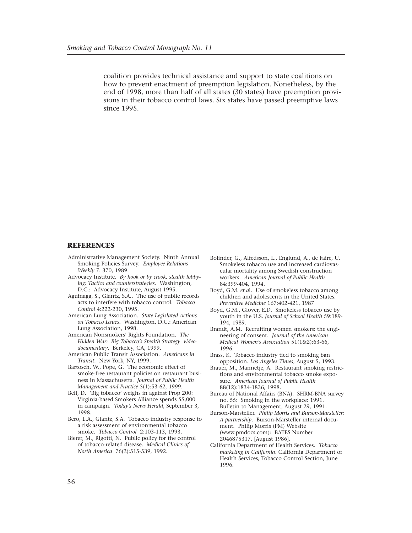coalition provides technical assistance and support to state coalitions on how to prevent enactment of preemption legislation. Nonetheless, by the end of 1998, more than half of all states (30 states) have preemption provisions in their tobacco control laws. Six states have passed preemptive laws since 1995.

#### **REFERENCES**

- Administrative Management Society. Ninth Annual Smoking Policies Survey. *Employee Relations Weekly* 7: 370, 1989.
- Advocacy Institute. *By hook or by crook, stealth lobbying: Tactics and counterstrategies*. Washington, D.C.: Advocacy Institute, August 1995.
- Aguinaga, S., Glantz, S.A.. The use of public records acts to interfere with tobacco control. *Tobacco Control* 4:222-230, 1995.
- American Lung Association. *State Legislated Actions on Tobacco Issues*. Washington, D.C.: American Lung Association, 1998.
- American Nonsmokers' Rights Foundation. *The Hidden War: Big Tobacco's Stealth Strategy videodocumentary*. Berkeley, CA, 1999.
- American Public Transit Association. *Americans in Transit*. New York, NY, 1999.
- Bartosch, W., Pope, G. The economic effect of smoke-free restaurant policies on restaurant business in Massachusetts. *Journal of Public Health Management and Practice* 5(1):53-62, 1999.
- Bell, D. 'Big tobacco' weighs in against Prop 200: Virginia-based Smokers Alliance spends \$5,000 in campaign. *Today's News Herald*, September 3, 1998.
- Bero, L.A., Glantz, S.A. Tobacco industry response to a risk assessment of environmental tobacco smoke. *Tobacco Control* 2:103-113, 1993.
- Bierer, M., Rigotti, N. Public policy for the control of tobacco-related disease. *Medical Clinics of North America* 76(2):515-539, 1992.
- Bolinder, G., Alfedsson, L., Englund, A., de Faire, U. Smokeless tobacco use and increased cardiovascular mortality among Swedish construction workers. *American Journal of Public Health* 84:399-404, 1994.
- Boyd, G.M. *et a*l. Use of smokeless tobacco among children and adolescents in the United States. *Preventive Medicine* 167:402-421, 1987
- Boyd, G.M., Glover, E.D. Smokeless tobacco use by youth in the U.S. *Journal of School Health* 59:189- 194, 1989.
- Brandt, A.M. Recruiting women smokers: the engineering of consent. *Journal of the American Medical Women's Association* 51(1&2):63-66, 1996.
- Brass, K. Tobacco industry tied to smoking ban opposition. *Los Angeles Times*, August 5, 1993.
- Brauer, M., Mannetje, A. Restaurant smoking restrictions and environmental tobacco smoke exposure. *American Journal of Public Health* 88(12):1834-1836, 1998.
- Bureau of National Affairs (BNA). SHRM-BNA survey no. 55: Smoking in the workplace: 1991. Bulletin to Management, August 29, 1991.
- Burson-Marsteller. *Philip Morris and Burson-Marsteller: A partnership*. Burson-Marsteller internal document. Philip Morris (PM) Website (www.pmdocs.com): BATES Number 2046875317. [August 1986].
- California Department of Health Services. *Tobacco marketing in California*. California Department of Health Services, Tobacco Control Section, June 1996.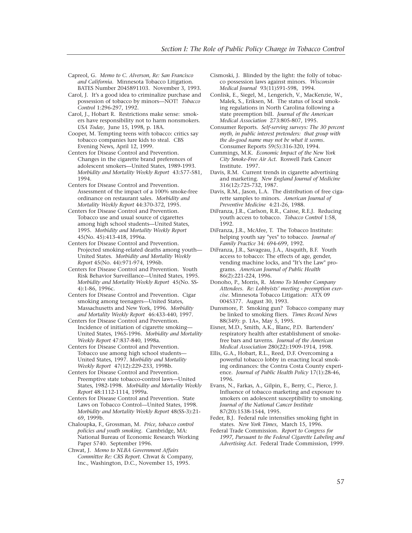- Capreol, G. *Memo to C. Alverson, Re: San Francisco and California*. Minnesota Tobacco Litigation. BATES Number 2045891103. November 3, 1993.
- Carol, J. It's a good idea to criminalize purchase and possession of tobacco by minors—NOT! *Tobacco Control* 1:296-297, 1992.
- Carol, J., Hobart R. Restrictions make sense: smokers have responsibility not to harm nonsmokers. *USA Today*, June 15, 1998, p. 18A.
- Cooper, M. Tempting teens with tobacco: critics say tobacco companies lure kids to steal. CBS Evening News, April 12, 1999.
- Centers for Disease Control and Prevention. Changes in the cigarette brand preferences of adolescent smokers—United States, 1989-1993. *Morbidity and Mortality Weekly Report* 43:577-581, 1994.
- Centers for Disease Control and Prevention. Assessment of the impact of a 100% smoke-free ordinance on restaurant sales. *Morbidity and Mortality Weekly Report* 44:370-372, 1995.
- Centers for Disease Control and Prevention. Tobacco use and usual source of cigarettes among high school students—United States, 1995. *Morbidity and Mortality Weekly Report* 45(No. 45):413-418, 1996a.
- Centers for Disease Control and Prevention. Projected smoking-related deaths among youth— United States. *Morbidity and Mortality Weekly Report* 45(No. 44):971-974, 1996b.
- Centers for Disease Control and Prevention. Youth Risk Behavior Surveillance—United States, 1995. *Morbidity and Mortality Weekly Report* 45(No. SS-4):1-86, 1996c.
- Centers for Disease Control and Prevention. Cigar smoking among teenagers—United States, Massachusetts and New York, 1996. *Morbidity and Mortality Weekly Report* 46:433-440, 1997.
- Centers for Disease Control and Prevention. Incidence of initiation of cigarette smoking— United States, 1965-1996. *Morbidity and Mortality Weekly Report* 47:837-840, 1998a.
- Centers for Disease Control and Prevention. Tobacco use among high school students— United States, 1997. *Morbidity and Mortality Weekly Report* 47(12):229-233, 1998b.
- Centers for Disease Control and Prevention. Preemptive state tobacco-control laws—United States, 1982-1998. *Morbidity and Mortality Weekly Report* 48:1112-1114, 1999a.
- Centers for Disease Control and Prevention. State Laws on Tobacco Control—United States, 1998. *Morbidity and Mortality Weekly Report* 48(SS-3):21- 69, 1999b.
- Chaloupka, F., Grossman, M. *Price, tobacco control policies and youth smoking*. Cambridge, MA: National Bureau of Economic Research Working Paper 5740. September 1996.
- Chwat, J. *Memo to NLBA Government Affairs Committee Re: CRS Report*. Chwat & Company, Inc., Washington, D.C., November 15, 1995.
- Cismoski, J. Blinded by the light: the folly of tobacco possession laws against minors. *Wisconsin Medical Journal* 93(11)591-598, 1994.
- Conlisk, E., Siegel, M., Lengerich, V., MacKenzie, W., Malek, S., Eriksen, M. The status of local smoking regulations in North Carolina following a state preemption bill. *Journal of the American Medical Association* 273:805-807, 1995.
- Consumer Reports. *Self-serving surveys: The 30 percent myth, in public interest pretenders: that group with the do-good name may not be what it seems*. Consumer Reports 59(5):316-320, 1994.
- Cummings, M.K. *Economic Impact of the New York City Smoke-Free Air Act*. Roswell Park Cancer Institute. 1997.
- Davis, R.M. Current trends in cigarette advertising and marketing. *New England Journal of Medicine* 316(12):725-732, 1987.
- Davis, R.M., Jason, L.A. The distribution of free cigarette samples to minors. *American Journal of Preventive Medicine* 4:21-26, 1988.
- DiFranza, J.R., Carlson, R.R., Caisse, R.E.J. Reducing youth access to tobacco. *Tobacco Control* 1:58, 1992.
- DiFranza, J.R., McAfee, T. The Tobacco Institute: helping youth say "yes" to tobacco. *Journal of Family Practice* 34: 694-699, 1992.
- DiFranza, J.R., Savageau, J.A., Aisquith, B.F. Youth access to tobacco: The effects of age, gender, vending machine locks, and "It's the Law" programs. *American Journal of Public Health* 86(2):221-224, 1996.
- Donoho, P., Morris, R. *Memo To Member Company Attendees. Re: Lobbyists' meeting - preemption exercise*. Minnesota Tobacco Litigation: ATX 09 0045377. August 30, 1993.
- Dunsmore, P. Smoking gun? Tobacco company may be linked to smoking fliers. *Times Record News* 88(349): p. 1A+, May 5, 1995.
- Eisner, M.D., Smith, A.K., Blanc, P.D. Bartenders' respiratory health after establishment of smokefree bars and taverns. *Journal of the American Medical Association* 280(22):1909-1914, 1998.
- Ellis, G.A., Hobart, R.L., Reed, D.F. Overcoming a powerful tobacco lobby in enacting local smoking ordinances: the Contra Costa County experience. *Journal of Public Health Policy* 17(1):28-46, 1996.
- Evans, N., Farkas, A., Gilpin, E., Berry, C., Pierce, J. Influence of tobacco marketing and exposure to smokers on adolescent susceptibility to smoking. *Journal of the National Cancer Institute* 87(20):1538-1544, 1995.
- Feder, B.J. Federal rule intensifies smoking fight in states. *New York Times*, March 15, 1996.
- Federal Trade Commission. *Report to Congress for 1997, Pursuant to the Federal Cigarette Labeling and Advertising Act*. Federal Trade Commission, 1999.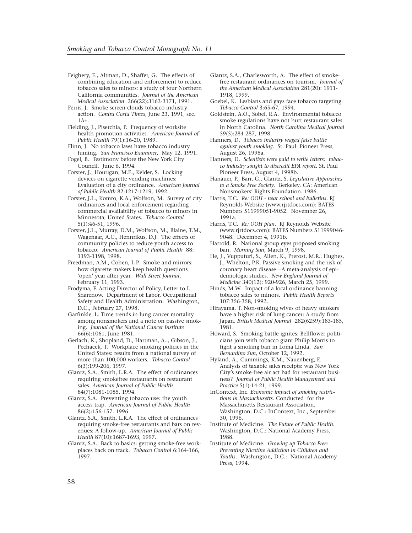- Feighery, E., Altman, D., Shaffer, G. The effects of combining education and enforcement to reduce tobacco sales to minors: a study of four Northern California communities. *Journal of the American Medical Association* 266(22):3163-3171, 1991.
- Ferris, J. Smoke screen clouds tobacco industry action. *Contra Costa Times*, June 23, 1991, sec.  $1A+$ .
- Fielding, J., Piserchia, P. Frequency of worksite health promotion activities. *American Journal of Public Health* 79(1):16-20, 1989.
- Flinn, J. No tobacco laws have tobacco industry fuming. *San Francisco Examiner*, May 12, 1991.
- Fogel, B. Testimony before the New York City Council. June 6, 1994.
- Forster, J., Hourigan, M.E., Kelder, S. Locking devices on cigarette vending machines: Evaluation of a city ordinance. *American Journal of Public Health* 82:1217-1219, 1992.
- Forster, J.L., Komro, K.A., Wolfson, M. Survey of city ordinances and local enforcement regarding commercial availability of tobacco to minors in Minnesota, United States. *Tobacco Control* 5(1):46-51, 1996.
- Forster, J.L., Murray, D.M., Wolfson, M., Blaine, T.M., Wagenaar, A.C., Hennrikus, D.J. The effects of community policies to reduce youth access to tobacco. *American Journal of Public Health* 88: 1193-1198, 1998.
- Freedman, A.M., Cohen, L.P. Smoke and mirrors: how cigarette makers keep health questions 'open' year after year. *Wall Street Journal*, February 11, 1993.
- Frodyma, F. Acting Director of Policy, Letter to I. Sharenow. Department of Labor, Occupational Safety and Health Administration. Washington, D.C., February 27, 1998.
- Garfinkle, L. Time trends in lung cancer mortality among nonsmokers and a note on passive smoking. *Journal of the National Cancer Institute* 66(6):1061, June 1981.
- Gerlach, K., Shopland, D., Hartman, A.., Gibson, J., Pechacek, T. Workplace smoking policies in the United States: results from a national survey of more than 100,000 workers. *Tobacco Control* 6(3):199-206, 1997.
- Glantz, S.A., Smith, L.R.A. The effect of ordinances requiring smokefree restaurants on restaurant sales. *American Journal of Public Health* 84(7):1081-1085, 1994.
- Glantz, S.A. Preventing tobacco use: the youth access trap. *American Journal of Public Health* 86(2):156-157. 1996
- Glantz, S.A., Smith, L.R.A. The effect of ordinances requiring smoke-free restaurants and bars on revenues: A follow-up. *American Journal of Public Health* 87(10):1687-1693, 1997.
- Glantz, S.A. Back to basics: getting smoke-free workplaces back on track. *Tobacco Control* 6:164-166, 1997.
- Glantz, S.A., Charlesworth, A. The effect of smokefree restaurant ordinances on tourism. *Journal of the American Medical Association* 281(20): 1911- 1918, 1999.
- Goebel, K. Lesbians and gays face tobacco targeting. *Tobacco Control* 3:65-67, 1994.
- Goldstein, A.O., Sobel, R.A. Environmental tobacco smoke regulations have not hurt restaurant sales in North Carolina. *North Carolina Medical Journal* 59(5):284-287, 1998.
- Hanners, D. *Tobacco industry waged false battle against youth smoking*. St. Paul: Pioneer Press, August 26, 1998a.
- Hanners, D. *Scientists were paid to write letters: tobacco industry sought to discredit EPA report*. St. Paul Pioneer Press, August 4, 1998b.
- Hanauer, P., Barr, G., Glantz, S. *Legislative Approaches to a Smoke Free Society*. Berkeley, CA: American Nonsmokers' Rights Foundation. 1986.
- Harris, T.C. *Re: OOH near school and bulletins*. RJ Reynolds Website (www.rjrtdocs.com): BATES Numbers 511999051-9052. November 26, 1991a.
- Harris, T.C. *Re: OOH plan*. RJ Reynolds Website (www.rjrtdocs.com): BATES Numbers 511999046- 9048. December 4, 1991b.
- Harrold, R. National group eyes proposed smoking ban. *Morning Sun*, March 9, 1998.
- He, J., Vupputuri, S., Allen, K., Prerost, M.R., Hughes, J., Whelton, P.K. Passive smoking and the risk of coronary heart disease—A meta-analysis of epidemiologic studies. *New England Journal of Medicine* 340(12): 920-926, March 25, 1999.
- Hinds, M.W. Impact of a local ordinance banning tobacco sales to minors. *Public Health Reports* 107:356-358, 1992.
- Hirayama, T. Non-smoking wives of heavy smokers have a higher risk of lung cancer: A study from Japan. *British Medical Journal* 282(6259):183-185, 1981.
- Howard, S. Smoking battle ignites: Bellflower politicians join with tobacco giant Philip Morris to fight a smoking ban in Loma Linda. *San Bernardino Sun*, October 12, 1992.
- Hyland, A., Cummings, K.M., Nauenberg, E. Analysis of taxable sales receipts: was New York City's smoke-free air act bad for restaurant business? *Journal of Public Health Management and Practice* 5(1):14-21, 1999.
- InContext, Inc. *Economic impact of smoking restrictions in Massachusetts*. Conducted for the Massachusetts Restaurant Association. Washington, D.C.: InContext, Inc., September 30, 1996.
- Institute of Medicine. *The Future of Public Health*. Washington, D.C.: National Academy Press, 1988.
- Institute of Medicine. *Growing up Tobacco Free: Preventing Nicotine Addiction in Children and Youths*. Washington, D.C.: National Academy Press, 1994.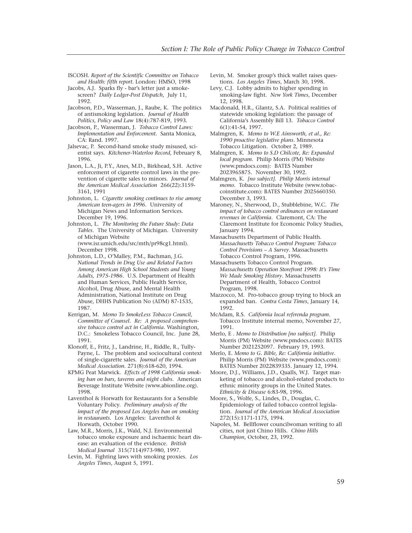- ISCOSH. *Report of the Scientific Committee on Tobacco and Health: fifth report*. London: HMSO, 1998
- Jacobs, A.J. Sparks fly bar's letter just a smokescreen? *Daily Ledger-Post Dispatch*, July 11, 1992.
- Jacobson, P.D., Wasserman, J., Raube, K. The politics of antismoking legislation. *Journal of Health Politics, Policy and Law* 18(4):787-819, 1993.
- Jacobson, P., Wasserman, J. *Tobacco Control Laws: Implementation and Enforcement*. Santa Monica, CA: Rand. 1997.
- Jalsevac, P. Second-hand smoke study misused, scientist says. *Kitchener-Waterloo Record*, February 8, 1996.
- Jason, L.A., Ji, P.Y., Anes, M.D., Birkhead, S.H. Active enforcement of cigarette control laws in the prevention of cigarette sales to minors. *Journal of the American Medical Association* 266(22):3159- 3161, 1991
- Johnston, L. *Cigarette smoking continues to rise among American teen-agers in 1996*. University of Michigan News and Information Services. December 19, 1996.
- Johnston, L. *The Monitoring the Future Study: Data Tables*. The University of Michigan. University of Michigan Website (www.isr.umich.edu/src/mth/pr98cg1.html). December 1998.
- Johnston, L.D., O'Malley, P.M., Bachman, J.G. *National Trends in Drug Use and Related Factors Among American High School Students and Young Adults, 1975-1986*. U.S. Department of Health and Human Services, Public Health Service, Alcohol, Drug Abuse, and Mental Health Administration, National Institute on Drug Abuse, DHHS Publication No (ADM) 87-1535, 1987.
- Kerrigan, M. *Memo To SmokeLess Tobacco Council, Committee of Counsel. Re: A proposed comprehensive tobacco control act in California.* Washington, D.C.: Smokeless Tobacco Council, Inc. June 28, 1991.
- Klonoff, E., Fritz, J., Landrine, H., Riddle, R., Tully-Payne, L. The problem and sociocultural context of single-cigarette sales. *Journal of the American Medical Association*. 271(8):618-620, 1994.
- KPMG Peat Marwick. *Effects of 1998 California smoking ban on bars, taverns and night clubs*. American Beverage Institute Website (www.abionline.org). 1998.
- Laventhol & Horwath for Restaurants for a Sensible Voluntary Policy. *Preliminary analysis of the impact of the proposed Los Angeles ban on smoking in restaurants*. Los Angeles: Laventhol & Horwath, October 1990.
- Law, M.R., Morris, J.K., Wald, N.J. Environmental tobacco smoke exposure and ischaemic heart disease: an evaluation of the evidence. *British Medical Journal* 315(7114)973-980, 1997.
- Levin, M. Fighting laws with smoking proxies. *Los Angeles Times*, August 5, 1991.
- Levin, M. Smoker group's thick wallet raises questions. *Los Angeles Times*, March 30, 1998.
- Levy, C.J. Lobby admits to higher spending in smoking-law fight. *New York Times*, December 12, 1998.
- Macdonald, H.R., Glantz, S.A. Political realities of statewide smoking legislation: the passage of California's Assembly Bill 13. *Tobacco Control* 6(1):41-54, 1997.
- Malmgren, K. *Memo to W.E Ainsworth, et al., Re: 1990 proactive legislative plans*. Minnesota Tobacco Litigation. October 2, 1989.
- Malmgren, K. *Memo to S.D Chilcote, Re: Expanded local program*. Philip Morris (PM) Website (www.pmdocs.com): BATES Number 2023965875. November 30, 1992.
- Malmgren, K. *[no subject]. Philip Morris internal memo*. Tobacco Institute Website (www.tobaccoinstitute.com): BATES Number 2025660350. December 3, 1993.
- Maroney, N., Sherwood, D., Stubblebine, W.C. *The impact of tobacco control ordinances on restaurant revenues in California*. Claremont, CA: The Claremont Institute for Economic Policy Studies, January 1994.
- Massachusetts Department of Public Health. *Massachusetts Tobacco Control Program: Tobacco Control Provisions – A Survey*. Massachusetts Tobacco Control Program, 1996.
- Massachusetts Tobacco Control Program. *Massachusetts Operation Storefront 1998: It's Time We Made Smoking History*. Massachusetts Department of Health, Tobacco Control Program, 1998.
- Mazzocco, M. Pro-tobacco group trying to block an expanded ban. *Contra Costa Times*, January 14, 1992.
- McAdam, R.S. *California local referenda program*. Tobacco Institute internal memo, November 27, 1991.
- Merlo, E . *Memo to Distribution [no subject]*. Philip Morris (PM) Website (www.pmdocs.com): BATES Number 2021252097. February 19, 1993.
- Merlo, E. *Memo to G. Bible, Re: California initiative*. Philip Morris (PM) Website (www.pmdocs.com): BATES Number 2022839335. January 12, 1994.
- Moore, D.J., Williams, J.D., Qualls, W.J. Target marketing of tobacco and alcohol-related products to ethnic minority groups in the United States. *Ethnicity & Disease* 6:83-98, 1996.
- Moore, S., Wolfe, S., Lindes, D., Douglas, C. Epidemiology of failed tobacco control legislation. *Journal of the American Medical Association* 272(15):1171-1175, 1994.
- Napoles, M. Bellflower councilwoman writing to all cities, not just Chino Hills. *Chino Hills Champion*, October, 23, 1992.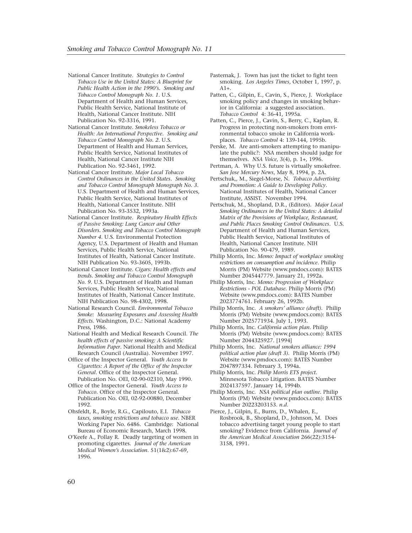- National Cancer Institute. *Strategies to Control Tobacco Use in the United States: A Blueprint for Public Health Action in the 1990's. Smoking and Tobacco Control Monograph No. 1*. U.S. Department of Health and Human Services, Public Health Service, National Institute of Health, National Cancer Institute. NIH Publication No. 92-3316, 1991.
- National Cancer Institute. *Smokeless Tobacco or Health: An International Perspective. Smoking and Tobacco Control Monograph No. 2*. U.S. Department of Health and Human Services, Public Health Service, National Institutes of Health, National Cancer Institute NIH Publication No. 92-3461, 1992.
- National Cancer Institute. *Major Local Tobacco Control Ordinances in the United States. Smoking and Tobacco Control Monograph Monograph No. 3*. U.S. Department of Health and Human Services, Public Health Service, National Institutes of Health, National Cancer Institute. NIH Publication No. 93-3532, 1993a.
- National Cancer Institute. *Respiratory Health Effects of Passive Smoking: Lung Cancer and Other Disorders. Smoking and Tobacco Control Monograph Number 4.* U.S. Environmental Protection Agency, U.S. Department of Health and Human Services, Public Health Service, National Institutes of Health, National Cancer Institute. NIH Publication No. 93-3605, 1993b.
- National Cancer Institute. *Cigars: Health effects and trends. Smoking and Tobacco Control Monograph No. 9*. U.S. Department of Health and Human Services, Public Health Service, National Institutes of Health, National Cancer Institute. NIH Publication No. 98-4302, 1998.
- National Research Council. *Environmental Tobacco Smoke: Measuring Exposures and Assessing Health Effects*. Washington, D.C.: National Academy Press, 1986.
- National Health and Medical Research Council. *The health effects of passive smoking: A Scientific Information Paper*. National Health and Medical Research Council (Australia). November 1997.
- Office of the Inspector General. *Youth Access to Cigarettes: A Report of the Office of the Inspector General*. Office of the Inspector General. Publication No. OEI, 02-90-02310, May 1990.
- Office of the Inspector General. *Youth Access to Tobacco*. Office of the Inspector General. Publication No. OEI, 02-92-00880, December 1992.
- Ohsfeldt, R., Boyle, R.G., Capilouto, E.I. *Tobacco taxes, smoking restrictions and tobacco use*. NBER Working Paper No. 6486. Cambridge: National Bureau of Economic Research, March 1998.
- O'Keefe A., Pollay R. Deadly targeting of women in promoting cigarettes. *Journal of the American Medical Women's Association*. 51(1&2):67-69, 1996.
- Pasternak, J. Town has just the ticket to fight teen smoking. *Los Angeles Times*, October 1, 1997, p.  $A1+$ .
- Patten, C., Gilpin, E., Cavin, S., Pierce, J. Workplace smoking policy and changes in smoking behavior in California: a suggested association. *Tobacco Control* 4: 36-41, 1995a.
- Patten, C., Pierce, J., Cavin, S., Berry, C., Kaplan, R. Progress in protecting non-smokers from environmental tobacco smoke in California workplaces. *Tobacco Control* 4: 139-144, 1995b.
- Perske, M. Are anti-smokers attempting to manipulate the public?: NSA members should judge for themselves. *NSA Voice*, 3(4), p. 1+, 1996.
- Pertman, A. Why U.S. future is virtually smokefree. *San Jose Mercury News*, May 8, 1994, p. 2A.
- Pertschuk,, M., Siegel-Morse, N. *Tobacco Advertising and Promotion: A Guide to Developing Policy*. National Institutes of Health, National Cancer Institute, ASSIST. November 1994.
- Pertschuk, M., Shopland, D.R., (Editors). *Major Local Smoking Ordinances in the United States: A detailed Matrix of the Provisions of Workplace, Restaurant, and Public Places Smoking Control Ordinances*. U.S. Department of Health and Human Services, Public Health Service, National Institutes of Health, National Cancer Institute. NIH Publication No. 90-479, 1989.
- Philip Morris, Inc. *Memo: Impact of workplace smoking restrictions on consumption and incidence*. Philip Morris (PM) Website (www.pmdocs.com): BATES Number 2045447779. January 21, 1992a.
- Philip Morris, Inc. *Memo: Progression of Workplace Restrictions - POL Database.* Philip Morris (PM) Website (www.pmdocs.com): BATES Number 2023774761. February 26, 1992b.
- Philip Morris, Inc. *A smokers' alliance (draft)*. Philip Morris (PM) Website (www.pmdocs.com): BATES Number 2025771934. July 1, 1993.
- Philip Morris, Inc. *California action plan*. Philip Morris (PM) Website (www.pmdocs.com): BATES Number 2044325927. [1994]
- Philip Morris, Inc. *National smokers alliance: 1994 political action plan (draft 3)*. Philip Morris (PM) Website (www.pmdocs.com): BATES Number 2047897334. February 3, 1994a.
- Philip Morris, Inc. *Philip Morris ETS project*. Minnesota Tobacco Litigation. BATES Number 2024137597. January 14, 1994b.
- Philip Morris, Inc. *NSA political plan outline.* Philip Morris (PM) Website (www.pmdocs.com): BATES Number 20223203153. *n.d*.
- Pierce, J., Gilpin, E., Burns, D., Whalen, E., Rosbrook, B., Shopland, D., Johnson, M. Does tobacco advertising target young people to start smoking? Evidence from California. *Journal of the American Medical Association* 266(22):3154- 3158, 1991.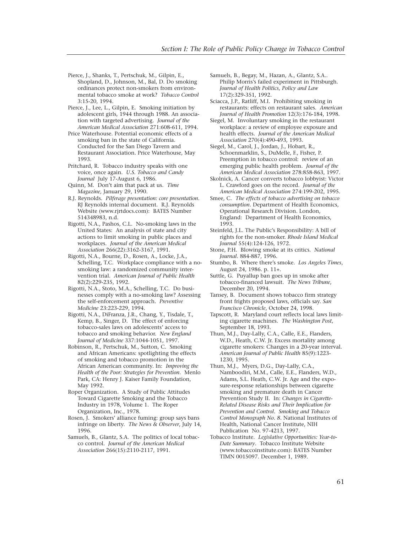Pierce, J., Shanks, T., Pertschuk, M., Gilpin, E., Shopland, D., Johnson, M., Bal, D. Do smoking ordinances protect non-smokers from environmental tobacco smoke at work? *Tobacco Control* 3:15-20, 1994.

Pierce, J., Lee, L., Gilpin, E. Smoking initiation by adolescent girls, 1944 through 1988. An association with targeted advertising. *Journal of the American Medical Association* 271:608-611, 1994.

Price Waterhouse. Potential economic effects of a smoking ban in the state of California. Conducted for the San Diego Tavern and Restaurant Association. Price Waterhouse, May 1993.

Pritchard, R. Tobacco industry speaks with one voice, once again. *U.S. Tobacco and Candy Journal* July 17-August 6, 1986.

- Quinn, M. Don't aim that pack at us. *Time Magazine,* January 29, 1990.
- R.J. Reynolds. *Pilferage presentation: core presentation.* RJ Reynolds internal document. R.J. Reynolds Website (www.rjrtdocs.com): BATES Number 514348983, n.d.
- Rigotti, N.A., Pashos, C.L. No-smoking laws in the United States: An analysis of state and city actions to limit smoking in public places and workplaces. *Journal of the American Medical Association* 266(22):3162-3167, 1991.

Rigotti, N.A., Bourne, D., Rosen, A., Locke, J.A., Schelling, T.C. Workplace compliance with a nosmoking law: a randomized community intervention trial. *American Journal of Public Health* 82(2):229-235, 1992.

Rigotti, N.A., Stoto, M.A., Schelling, T.C. Do businesses comply with a no-smoking law? Assessing the self-enforcement approach. *Preventive Medicine* 23:223-229, 1994.

Rigotti, N.A., DiFranza, J.R., Chang, Y., Tisdale, T., Kemp, B., Singer, D. The effect of enforcing tobacco-sales laws on adolescents' access to tobacco and smoking behavior. *New England Journal of Medicine* 337:1044-1051, 1997.

Robinson, R., Pertschuk, M., Sutton, C. Smoking and African Americans: spotlighting the effects of smoking and tobacco promotion in the African American community. In: *Improving the Health of the Poor: Strategies for Prevention*. Menlo Park, CA: Henry J. Kaiser Family Foundation, May 1992.

Roper Organization. A Study of Public Attitudes Toward Cigarette Smoking and the Tobacco Industry in 1978, Volume 1. The Roper Organization, Inc., 1978.

Rosen, J. Smokers' alliance fuming: group says bans infringe on liberty. *The News & Observer*, July 14, 1996.

Samuels, B., Glantz, S.A. The politics of local tobacco control. *Journal of the American Medical Association* 266(15):2110-2117, 1991.

Samuels, B., Begay, M., Hazan, A., Glantz, S.A.. Philip Morris's failed experiment in Pittsburgh. *Journal of Health Politics, Policy and Law* 17(2):329-351, 1992.

Sciacca, J.P., Ratliff, M.I. Prohibiting smoking in restaurants: effects on restaurant sales. *American Journal of Health Promotion* 12(3):176-184, 1998.

Siegel, M. Involuntary smoking in the restaurant workplace: a review of employee exposure and health effects. *Journal of the American Medical Association* 270(4):490-493, 1993.

Siegel, M., Carol, J., Jordan, J., Hobart, R., Schoenmarklin, S., DuMelle, F., Fisher, P. Preemption in tobacco control: review of an emerging public health problem. *Journal of the American Medical Association* 278:858-863, 1997.

Skolnick, A. Cancer converts tobacco lobbyist: Victor L. Crawford goes on the record. *Journal of the American Medical Association* 274:199-202, 1995.

Smee, C. *The effects of tobacco advertising on tobacco consumption*. Department of Health Economics, Operational Research Division. London, England: Department of Health Economics, 1993.

Steinfeld, J.L. The Public's Responsibility: A bill of rights for the non-smoker. *Rhode Island Medical Journal* 55(4):124-126, 1972.

Stone, P.H. Blowing smoke at its critics. *National Journal*. 884-887, 1996.

Stumbo, B. Where there's smoke. *Los Angeles Times*, August 24, 1986. p. 11+.

Suttle, G. Puyallup ban goes up in smoke after tobacco-financed lawsuit. *The News Tribune*, December 20, 1994.

Tansey, B. Document shows tobacco firm strategy front frights proposed laws, officials say. *San Francisco Chronicle*, October 24, 1998.

Tapscott, R. Maryland court reflects local laws limiting cigarette machines. *The Washington Post*, September 18, 1993.

Thun, M.J., Day-Lally, C.A., Calle, E.E., Flanders, W.D., Heath, C.W. Jr. Excess mortality among cigarette smokers: Changes in a 20-year interval. *American Journal of Public Health* 85(9):1223- 1230, 1995.

Thun, M.J., Myers, D.G., Day-Lally, C.A., Namboodiri, M.M., Calle, E.E., Flanders, W.D., Adams, S.L. Heath, C.W. Jr. Age and the exposure-response relationships between cigarette smoking and premature death in Cancer Prevention Study II. In: *Changes in Cigarette-Related Disease Risks and Their Implication for Prevention and Control. Smoking and Tobacco Control Monograph No. 8*. National Institutes of Health, National Cancer Institute, NIH Publication No. 97-4213, 1997.

Tobacco Institute. *Legislative Opportunities: Year-to-Date Summary*. Tobacco Institute Website (www.tobaccoinstitute.com): BATES Number TIMN 0015097. December 1, 1989.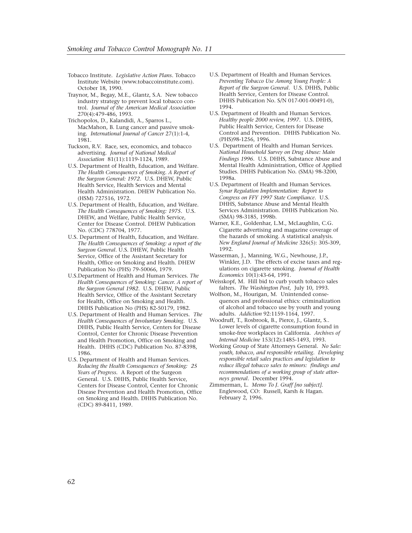- Tobacco Institute. *Legislative Action Plans*. Tobacco Institute Website (www.tobaccoinstitute.com). October 18, 1990.
- Traynor, M., Begay, M.E., Glantz, S.A. New tobacco industry strategy to prevent local tobacco control. *Journal of the American Medical Association* 270(4):479-486, 1993.
- Trichopolos, D., Kalandidi, A., Sparros L., MacMahon, B. Lung cancer and passive smoking. *International Journal of Cancer* 27(1):1-4, 1981.
- Tuckson, R.V. Race, sex, economics, and tobacco advertising. *Journal of National Medical Association* 81(11):1119-1124, 1989.
- U.S. Department of Health, Education, and Welfare. *The Health Consequences of Smoking. A Report of the Surgeon General: 1972*. U.S. DHEW, Public Health Service, Health Services and Mental Health Administration. DHEW Publication No. (HSM) 727516, 1972.
- U.S. Department of Health, Education, and Welfare. *The Health Consequences of Smoking: 1975*. U.S. DHEW, and Welfare, Public Health Service, Center for Disease Control. DHEW Publication No. (CDC) 778704, 1977.
- U.S. Department of Health, Education, and Welfare. *The Health Consequences of Smoking: a report of the Surgeon General*. U.S. DHEW, Public Health Service, Office of the Assistant Secretary for Health, Office on Smoking and Health. DHEW Publication No (PHS) 79-50066, 1979.
- U.S.Department of Health and Human Services. *The Health Consequences of Smoking: Cancer. A report of the Surgeon General 1982*. U.S. DHEW, Public Health Service, Office of the Assistant Secretary for Health, Office on Smoking and Health. DHHS Publication No (PHS) 82-50179, 1982.
- U.S. Department of Health and Human Services. *The Health Consequences of Involuntary Smoking*. U.S. DHHS, Public Health Service, Centers for Disease Control, Center for Chronic Disease Prevention and Health Promotion, Office on Smoking and Health. DHHS (CDC) Publication No. 87-8398, 1986.
- U.S. Department of Health and Human Services. *Reducing the Health Consequences of Smoking: 25 Years of Progress.* A Report of the Surgeon General. U.S. DHHS, Public Health Service, Centers for Disease Control, Center for Chronic Disease Prevention and Health Promotion, Office on Smoking and Health. DHHS Publication No. (CDC) 89-8411, 1989.
- U.S. Department of Health and Human Services. *Preventing Tobacco Use Among Young People: A Report of the Surgeon General*. U.S. DHHS, Public Health Service, Centers for Disease Control. DHHS Publication No. S/N 017-001-00491-0), 1994.
- U.S. Department of Health and Human Services. *Healthy people 2000 review, 1997.* U.S. DHHS, Public Health Service, Centers for Disease Control and Prevention. DHHS Publication No. (PHS)98-1256, 1996.
- U.S. Department of Health and Human Services. *National Household Survey on Drug Abuse: Main Findings 1996*. U.S. DHHS, Substance Abuse and Mental Health Administration, Office of Applied Studies. DHHS Publication No. (SMA) 98-3200, 1998a.
- U.S. Department of Health and Human Services. *Synar Regulation Implementation: Report to Congress on FFY 1997 State Compliance*. U.S. DHHS, Substance Abuse and Mental Health Services Administration. DHHS Publication No. (SMA) 98-3185, 1998b.
- Warner, K.E., Goldenhar, L.M., McLaughlin, C.G. Cigarette advertising and magazine coverage of the hazards of smoking. A statistical analysis. *New England Journal of Medicine* 326(5): 305-309, 1992.
- Wasserman, J., Manning, W.G., Newhouse, J.P., Winkler, J.D. The effects of excise taxes and regulations on cigarette smoking. *Journal of Health Economics* 10(1):43-64, 1991.
- Weisskopf, M. Hill bid to curb youth tobacco sales falters. *The Washington Post*, July 10, 1993.
- Wolfson, M., Hourigan, M. Unintended consequences and professional ethics: criminalization of alcohol and tobacco use by youth and young adults. *Addiction* 92:1159-1164, 1997.
- Woodruff, T., Rosbrook, B., Pierce, J., Glantz, S.. Lower levels of cigarette consumption found in smoke-free workplaces in California. *Archives of Internal Medicine* 153(12):1485-1493, 1993.
- Working Group of State Attorneys General. *No Sale: youth, tobacco, and responsible retailing. Developing responsible retail sales practices and legislation to reduce illegal tobacco sales to minors: findings and recommendations of a working group of state attorneys general*. December 1994.
- Zimmerman, L. *Memo To J. Graff [no subject]*. Englewood, CO: Russell, Karsh & Hagan. February 2, 1996.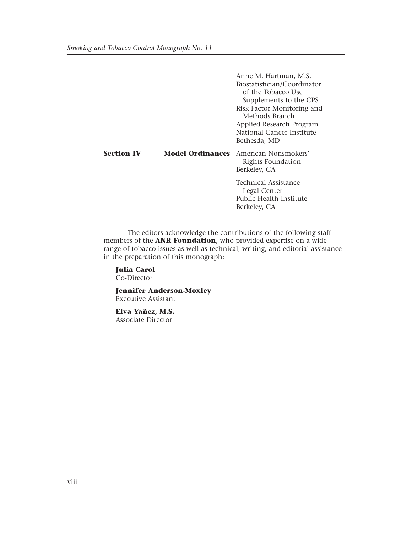Anne M. Hartman, M.S. Biostatistician/Coordinator of the Tobacco Use Supplements to the CPS Risk Factor Monitoring and Methods Branch Applied Research Program National Cancer Institute Bethesda, MD **Section IV Model Ordinances** American Nonsmokers' Rights Foundation Berkeley, CA Technical Assistance Legal Center Public Health Institute Berkeley, CA

The editors acknowledge the contributions of the following staff members of the **ANR Foundation**, who provided expertise on a wide range of tobacco issues as well as technical, writing, and editorial assistance in the preparation of this monograph:

**Julia Carol** Co-Director

**Jennifer Anderson-Moxley** Executive Assistant

**Elva Yañez, M.S.** Associate Director